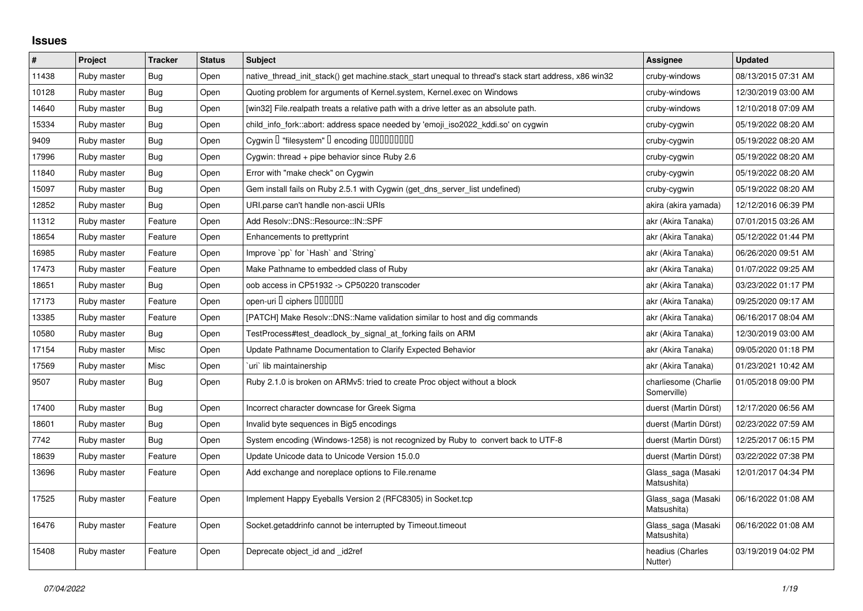## **Issues**

| $\pmb{\#}$ | Project     | <b>Tracker</b> | <b>Status</b> | <b>Subject</b>                                                                                        | Assignee                            | <b>Updated</b>      |
|------------|-------------|----------------|---------------|-------------------------------------------------------------------------------------------------------|-------------------------------------|---------------------|
| 11438      | Ruby master | Bug            | Open          | native thread init stack() get machine stack start unequal to thread's stack start address, x86 win32 | cruby-windows                       | 08/13/2015 07:31 AM |
| 10128      | Ruby master | Bug            | Open          | Quoting problem for arguments of Kernel.system, Kernel.exec on Windows                                | cruby-windows                       | 12/30/2019 03:00 AM |
| 14640      | Ruby master | <b>Bug</b>     | Open          | [win32] File.realpath treats a relative path with a drive letter as an absolute path.                 | cruby-windows                       | 12/10/2018 07:09 AM |
| 15334      | Ruby master | <b>Bug</b>     | Open          | child_info_fork::abort: address space needed by 'emoji_iso2022_kddi.so' on cygwin                     | cruby-cygwin                        | 05/19/2022 08:20 AM |
| 9409       | Ruby master | Bug            | Open          | Cygwin I "filesystem" I encoding IIIIIIIIIIIII                                                        | cruby-cygwin                        | 05/19/2022 08:20 AM |
| 17996      | Ruby master | Bug            | Open          | Cygwin: thread + pipe behavior since Ruby 2.6                                                         | cruby-cygwin                        | 05/19/2022 08:20 AM |
| 11840      | Ruby master | Bug            | Open          | Error with "make check" on Cygwin                                                                     | cruby-cygwin                        | 05/19/2022 08:20 AM |
| 15097      | Ruby master | <b>Bug</b>     | Open          | Gem install fails on Ruby 2.5.1 with Cygwin (get_dns_server_list undefined)                           | cruby-cygwin                        | 05/19/2022 08:20 AM |
| 12852      | Ruby master | Bug            | Open          | URI.parse can't handle non-ascii URIs                                                                 | akira (akira yamada)                | 12/12/2016 06:39 PM |
| 11312      | Ruby master | Feature        | Open          | Add Resolv::DNS::Resource::IN::SPF                                                                    | akr (Akira Tanaka)                  | 07/01/2015 03:26 AM |
| 18654      | Ruby master | Feature        | Open          | Enhancements to prettyprint                                                                           | akr (Akira Tanaka)                  | 05/12/2022 01:44 PM |
| 16985      | Ruby master | Feature        | Open          | Improve `pp` for `Hash` and `String`                                                                  | akr (Akira Tanaka)                  | 06/26/2020 09:51 AM |
| 17473      | Ruby master | Feature        | Open          | Make Pathname to embedded class of Ruby                                                               | akr (Akira Tanaka)                  | 01/07/2022 09:25 AM |
| 18651      | Ruby master | <b>Bug</b>     | Open          | oob access in CP51932 -> CP50220 transcoder                                                           | akr (Akira Tanaka)                  | 03/23/2022 01:17 PM |
| 17173      | Ruby master | Feature        | Open          | open-uri I ciphers IIIIIII                                                                            | akr (Akira Tanaka)                  | 09/25/2020 09:17 AM |
| 13385      | Ruby master | Feature        | Open          | [PATCH] Make Resolv::DNS::Name validation similar to host and dig commands                            | akr (Akira Tanaka)                  | 06/16/2017 08:04 AM |
| 10580      | Ruby master | Bug            | Open          | TestProcess#test_deadlock_by_signal_at_forking fails on ARM                                           | akr (Akira Tanaka)                  | 12/30/2019 03:00 AM |
| 17154      | Ruby master | Misc           | Open          | Update Pathname Documentation to Clarify Expected Behavior                                            | akr (Akira Tanaka)                  | 09/05/2020 01:18 PM |
| 17569      | Ruby master | Misc           | Open          | uri lib maintainership                                                                                | akr (Akira Tanaka)                  | 01/23/2021 10:42 AM |
| 9507       | Ruby master | Bug            | Open          | Ruby 2.1.0 is broken on ARMv5: tried to create Proc object without a block                            | charliesome (Charlie<br>Somerville) | 01/05/2018 09:00 PM |
| 17400      | Ruby master | Bug            | Open          | Incorrect character downcase for Greek Sigma                                                          | duerst (Martin Dürst)               | 12/17/2020 06:56 AM |
| 18601      | Ruby master | Bug            | Open          | Invalid byte sequences in Big5 encodings                                                              | duerst (Martin Dürst)               | 02/23/2022 07:59 AM |
| 7742       | Ruby master | <b>Bug</b>     | Open          | System encoding (Windows-1258) is not recognized by Ruby to convert back to UTF-8                     | duerst (Martin Dürst)               | 12/25/2017 06:15 PM |
| 18639      | Ruby master | Feature        | Open          | Update Unicode data to Unicode Version 15.0.0                                                         | duerst (Martin Dürst)               | 03/22/2022 07:38 PM |
| 13696      | Ruby master | Feature        | Open          | Add exchange and noreplace options to File.rename                                                     | Glass_saga (Masaki<br>Matsushita)   | 12/01/2017 04:34 PM |
| 17525      | Ruby master | Feature        | Open          | Implement Happy Eyeballs Version 2 (RFC8305) in Socket.tcp                                            | Glass_saga (Masaki<br>Matsushita)   | 06/16/2022 01:08 AM |
| 16476      | Ruby master | Feature        | Open          | Socket.getaddrinfo cannot be interrupted by Timeout.timeout                                           | Glass_saga (Masaki<br>Matsushita)   | 06/16/2022 01:08 AM |
| 15408      | Ruby master | Feature        | Open          | Deprecate object_id and _id2ref                                                                       | headius (Charles<br>Nutter)         | 03/19/2019 04:02 PM |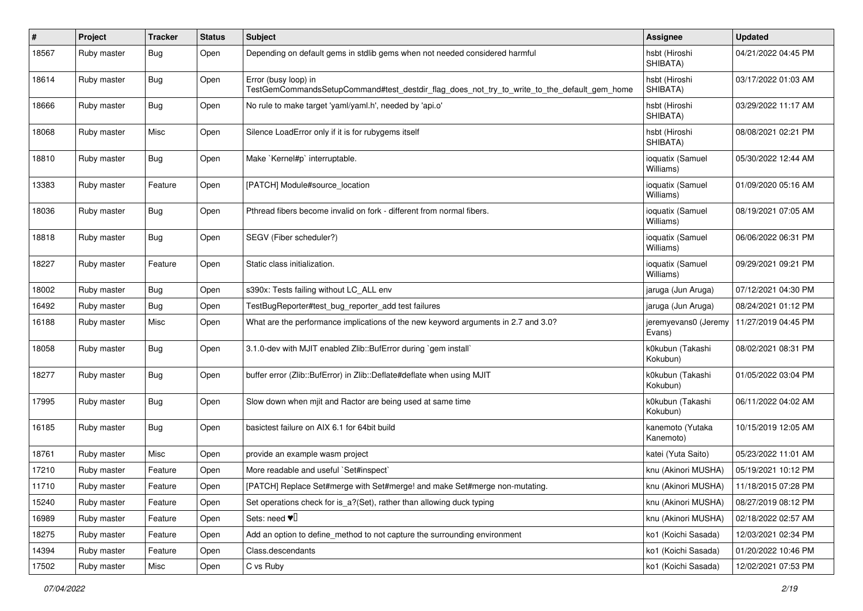| $\#$  | Project     | <b>Tracker</b> | <b>Status</b> | Subject                                                                                                             | <b>Assignee</b>                           | <b>Updated</b>      |
|-------|-------------|----------------|---------------|---------------------------------------------------------------------------------------------------------------------|-------------------------------------------|---------------------|
| 18567 | Ruby master | Bug            | Open          | Depending on default gems in stdlib gems when not needed considered harmful                                         | hsbt (Hiroshi<br>SHIBATA)                 | 04/21/2022 04:45 PM |
| 18614 | Ruby master | Bug            | Open          | Error (busy loop) in<br>TestGemCommandsSetupCommand#test_destdir_flag_does_not_try_to_write_to_the_default_gem_home | hsbt (Hiroshi<br>SHIBATA)                 | 03/17/2022 01:03 AM |
| 18666 | Ruby master | Bug            | Open          | No rule to make target 'yaml/yaml.h', needed by 'api.o'                                                             | hsbt (Hiroshi<br>SHIBATA)                 | 03/29/2022 11:17 AM |
| 18068 | Ruby master | Misc           | Open          | Silence LoadError only if it is for rubygems itself                                                                 | hsbt (Hiroshi<br>SHIBATA)                 | 08/08/2021 02:21 PM |
| 18810 | Ruby master | Bug            | Open          | Make `Kernel#p` interruptable.                                                                                      | ioquatix (Samuel<br>Williams)             | 05/30/2022 12:44 AM |
| 13383 | Ruby master | Feature        | Open          | [PATCH] Module#source_location                                                                                      | ioquatix (Samuel<br>Williams)             | 01/09/2020 05:16 AM |
| 18036 | Ruby master | Bug            | Open          | Pthread fibers become invalid on fork - different from normal fibers.                                               | ioquatix (Samuel<br>Williams)             | 08/19/2021 07:05 AM |
| 18818 | Ruby master | Bug            | Open          | SEGV (Fiber scheduler?)                                                                                             | ioquatix (Samuel<br>Williams)             | 06/06/2022 06:31 PM |
| 18227 | Ruby master | Feature        | Open          | Static class initialization.                                                                                        | ioquatix (Samuel<br>Williams)             | 09/29/2021 09:21 PM |
| 18002 | Ruby master | Bug            | Open          | s390x: Tests failing without LC_ALL env                                                                             | jaruga (Jun Aruga)                        | 07/12/2021 04:30 PM |
| 16492 | Ruby master | <b>Bug</b>     | Open          | TestBugReporter#test bug reporter add test failures                                                                 | jaruga (Jun Aruga)                        | 08/24/2021 01:12 PM |
| 16188 | Ruby master | Misc           | Open          | What are the performance implications of the new keyword arguments in 2.7 and 3.0?                                  | jeremyevans0 (Jeremy<br>Evans)            | 11/27/2019 04:45 PM |
| 18058 | Ruby master | Bug            | Open          | 3.1.0-dev with MJIT enabled Zlib::BufError during `gem install`                                                     | k0kubun (Takashi<br>Kokubun)              | 08/02/2021 08:31 PM |
| 18277 | Ruby master | Bug            | Open          | buffer error (Zlib::BufError) in Zlib::Deflate#deflate when using MJIT                                              | k0kubun (Takashi<br>Kokubun)              | 01/05/2022 03:04 PM |
| 17995 | Ruby master | Bug            | Open          | Slow down when mjit and Ractor are being used at same time                                                          | k0kubun (Takashi<br>Kokubun)              | 06/11/2022 04:02 AM |
| 16185 | Ruby master | <b>Bug</b>     | Open          | basictest failure on AIX 6.1 for 64bit build                                                                        | kanemoto (Yutaka<br>Kanemoto)             | 10/15/2019 12:05 AM |
| 18761 | Ruby master | Misc           | Open          | provide an example wasm project                                                                                     | katei (Yuta Saito)                        | 05/23/2022 11:01 AM |
| 17210 | Ruby master | Feature        | Open          | More readable and useful `Set#inspect`                                                                              | knu (Akinori MUSHA)                       | 05/19/2021 10:12 PM |
| 11710 | Ruby master | Feature        | Open          | [PATCH] Replace Set#merge with Set#merge! and make Set#merge non-mutating.                                          | knu (Akinori MUSHA)   11/18/2015 07:28 PM |                     |
| 15240 | Ruby master | Feature        | Open          | Set operations check for is_a?(Set), rather than allowing duck typing                                               | knu (Akinori MUSHA)                       | 08/27/2019 08:12 PM |
| 16989 | Ruby master | Feature        | Open          | Sets: need $\Psi$ <sup>[]</sup>                                                                                     | knu (Akinori MUSHA)                       | 02/18/2022 02:57 AM |
| 18275 | Ruby master | Feature        | Open          | Add an option to define_method to not capture the surrounding environment                                           | ko1 (Koichi Sasada)                       | 12/03/2021 02:34 PM |
| 14394 | Ruby master | Feature        | Open          | Class.descendants                                                                                                   | ko1 (Koichi Sasada)                       | 01/20/2022 10:46 PM |
| 17502 | Ruby master | Misc           | Open          | C vs Ruby                                                                                                           | ko1 (Koichi Sasada)                       | 12/02/2021 07:53 PM |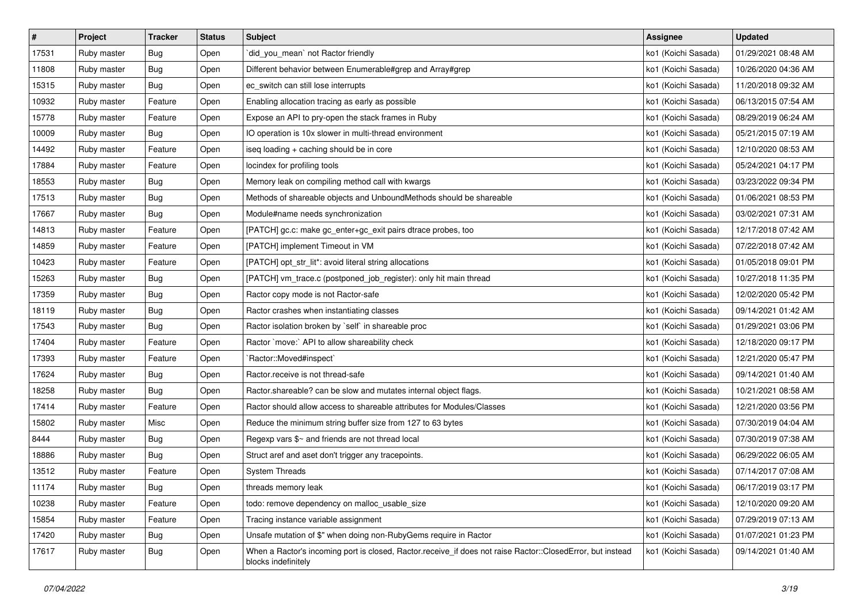| #     | Project     | <b>Tracker</b>   | <b>Status</b> | <b>Subject</b>                                                                                                                    | <b>Assignee</b>     | <b>Updated</b>      |
|-------|-------------|------------------|---------------|-----------------------------------------------------------------------------------------------------------------------------------|---------------------|---------------------|
| 17531 | Ruby master | <b>Bug</b>       | Open          | did you mean' not Ractor friendly                                                                                                 | ko1 (Koichi Sasada) | 01/29/2021 08:48 AM |
| 11808 | Ruby master | <b>Bug</b>       | Open          | Different behavior between Enumerable#grep and Array#grep                                                                         | ko1 (Koichi Sasada) | 10/26/2020 04:36 AM |
| 15315 | Ruby master | <b>Bug</b>       | Open          | ec_switch can still lose interrupts                                                                                               | ko1 (Koichi Sasada) | 11/20/2018 09:32 AM |
| 10932 | Ruby master | Feature          | Open          | Enabling allocation tracing as early as possible                                                                                  | ko1 (Koichi Sasada) | 06/13/2015 07:54 AM |
| 15778 | Ruby master | Feature          | Open          | Expose an API to pry-open the stack frames in Ruby                                                                                | ko1 (Koichi Sasada) | 08/29/2019 06:24 AM |
| 10009 | Ruby master | <b>Bug</b>       | Open          | IO operation is 10x slower in multi-thread environment                                                                            | ko1 (Koichi Sasada) | 05/21/2015 07:19 AM |
| 14492 | Ruby master | Feature          | Open          | iseq loading + caching should be in core                                                                                          | ko1 (Koichi Sasada) | 12/10/2020 08:53 AM |
| 17884 | Ruby master | Feature          | Open          | locindex for profiling tools                                                                                                      | ko1 (Koichi Sasada) | 05/24/2021 04:17 PM |
| 18553 | Ruby master | <b>Bug</b>       | Open          | Memory leak on compiling method call with kwargs                                                                                  | ko1 (Koichi Sasada) | 03/23/2022 09:34 PM |
| 17513 | Ruby master | <b>Bug</b>       | Open          | Methods of shareable objects and UnboundMethods should be shareable                                                               | ko1 (Koichi Sasada) | 01/06/2021 08:53 PM |
| 17667 | Ruby master | <b>Bug</b>       | Open          | Module#name needs synchronization                                                                                                 | ko1 (Koichi Sasada) | 03/02/2021 07:31 AM |
| 14813 | Ruby master | Feature          | Open          | [PATCH] gc.c: make gc_enter+gc_exit pairs dtrace probes, too                                                                      | ko1 (Koichi Sasada) | 12/17/2018 07:42 AM |
| 14859 | Ruby master | Feature          | Open          | [PATCH] implement Timeout in VM                                                                                                   | ko1 (Koichi Sasada) | 07/22/2018 07:42 AM |
| 10423 | Ruby master | Feature          | Open          | [PATCH] opt_str_lit*: avoid literal string allocations                                                                            | ko1 (Koichi Sasada) | 01/05/2018 09:01 PM |
| 15263 | Ruby master | <b>Bug</b>       | Open          | [PATCH] vm_trace.c (postponed_job_register): only hit main thread                                                                 | ko1 (Koichi Sasada) | 10/27/2018 11:35 PM |
| 17359 | Ruby master | <b>Bug</b>       | Open          | Ractor copy mode is not Ractor-safe                                                                                               | ko1 (Koichi Sasada) | 12/02/2020 05:42 PM |
| 18119 | Ruby master | <b>Bug</b>       | Open          | Ractor crashes when instantiating classes                                                                                         | ko1 (Koichi Sasada) | 09/14/2021 01:42 AM |
| 17543 | Ruby master | Bug              | Open          | Ractor isolation broken by `self` in shareable proc                                                                               | ko1 (Koichi Sasada) | 01/29/2021 03:06 PM |
| 17404 | Ruby master | Feature          | Open          | Ractor `move:` API to allow shareability check                                                                                    | ko1 (Koichi Sasada) | 12/18/2020 09:17 PM |
| 17393 | Ruby master | Feature          | Open          | `Ractor::Moved#inspect`                                                                                                           | ko1 (Koichi Sasada) | 12/21/2020 05:47 PM |
| 17624 | Ruby master | Bug              | Open          | Ractor.receive is not thread-safe                                                                                                 | ko1 (Koichi Sasada) | 09/14/2021 01:40 AM |
| 18258 | Ruby master | <b>Bug</b>       | Open          | Ractor shareable? can be slow and mutates internal object flags.                                                                  | ko1 (Koichi Sasada) | 10/21/2021 08:58 AM |
| 17414 | Ruby master | Feature          | Open          | Ractor should allow access to shareable attributes for Modules/Classes                                                            | ko1 (Koichi Sasada) | 12/21/2020 03:56 PM |
| 15802 | Ruby master | Misc             | Open          | Reduce the minimum string buffer size from 127 to 63 bytes                                                                        | ko1 (Koichi Sasada) | 07/30/2019 04:04 AM |
| 8444  | Ruby master | <b>Bug</b>       | Open          | Regexp vars \$~ and friends are not thread local                                                                                  | ko1 (Koichi Sasada) | 07/30/2019 07:38 AM |
| 18886 | Ruby master | <b>Bug</b>       | Open          | Struct aref and aset don't trigger any tracepoints.                                                                               | ko1 (Koichi Sasada) | 06/29/2022 06:05 AM |
| 13512 | Ruby master | Feature          | Open          | <b>System Threads</b>                                                                                                             | ko1 (Koichi Sasada) | 07/14/2017 07:08 AM |
| 11174 | Ruby master | <sub>i</sub> Bug | Open          | threads memory leak                                                                                                               | ko1 (Koichi Sasada) | 06/17/2019 03:17 PM |
| 10238 | Ruby master | Feature          | Open          | todo: remove dependency on malloc_usable_size                                                                                     | ko1 (Koichi Sasada) | 12/10/2020 09:20 AM |
| 15854 | Ruby master | Feature          | Open          | Tracing instance variable assignment                                                                                              | ko1 (Koichi Sasada) | 07/29/2019 07:13 AM |
| 17420 | Ruby master | Bug              | Open          | Unsafe mutation of \$" when doing non-RubyGems require in Ractor                                                                  | ko1 (Koichi Sasada) | 01/07/2021 01:23 PM |
| 17617 | Ruby master | Bug              | Open          | When a Ractor's incoming port is closed, Ractor.receive if does not raise Ractor::ClosedError, but instead<br>blocks indefinitely | ko1 (Koichi Sasada) | 09/14/2021 01:40 AM |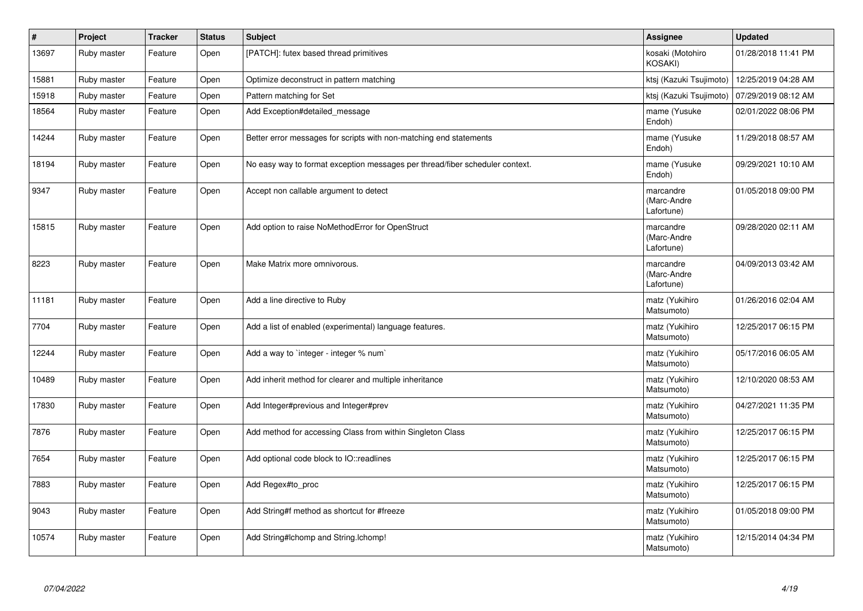| $\#$  | Project     | <b>Tracker</b> | <b>Status</b> | <b>Subject</b>                                                               | <b>Assignee</b>                        | <b>Updated</b>      |
|-------|-------------|----------------|---------------|------------------------------------------------------------------------------|----------------------------------------|---------------------|
| 13697 | Ruby master | Feature        | Open          | [PATCH]: futex based thread primitives                                       | kosaki (Motohiro<br>KOSAKI)            | 01/28/2018 11:41 PM |
| 15881 | Ruby master | Feature        | Open          | Optimize deconstruct in pattern matching                                     | ktsj (Kazuki Tsujimoto)                | 12/25/2019 04:28 AM |
| 15918 | Ruby master | Feature        | Open          | Pattern matching for Set                                                     | ktsj (Kazuki Tsujimoto)                | 07/29/2019 08:12 AM |
| 18564 | Ruby master | Feature        | Open          | Add Exception#detailed message                                               | mame (Yusuke<br>Endoh)                 | 02/01/2022 08:06 PM |
| 14244 | Ruby master | Feature        | Open          | Better error messages for scripts with non-matching end statements           | mame (Yusuke<br>Endoh)                 | 11/29/2018 08:57 AM |
| 18194 | Ruby master | Feature        | Open          | No easy way to format exception messages per thread/fiber scheduler context. | mame (Yusuke<br>Endoh)                 | 09/29/2021 10:10 AM |
| 9347  | Ruby master | Feature        | Open          | Accept non callable argument to detect                                       | marcandre<br>(Marc-Andre<br>Lafortune) | 01/05/2018 09:00 PM |
| 15815 | Ruby master | Feature        | Open          | Add option to raise NoMethodError for OpenStruct                             | marcandre<br>(Marc-Andre<br>Lafortune) | 09/28/2020 02:11 AM |
| 8223  | Ruby master | Feature        | Open          | Make Matrix more omnivorous.                                                 | marcandre<br>(Marc-Andre<br>Lafortune) | 04/09/2013 03:42 AM |
| 11181 | Ruby master | Feature        | Open          | Add a line directive to Ruby                                                 | matz (Yukihiro<br>Matsumoto)           | 01/26/2016 02:04 AM |
| 7704  | Ruby master | Feature        | Open          | Add a list of enabled (experimental) language features.                      | matz (Yukihiro<br>Matsumoto)           | 12/25/2017 06:15 PM |
| 12244 | Ruby master | Feature        | Open          | Add a way to `integer - integer % num`                                       | matz (Yukihiro<br>Matsumoto)           | 05/17/2016 06:05 AM |
| 10489 | Ruby master | Feature        | Open          | Add inherit method for clearer and multiple inheritance                      | matz (Yukihiro<br>Matsumoto)           | 12/10/2020 08:53 AM |
| 17830 | Ruby master | Feature        | Open          | Add Integer#previous and Integer#prev                                        | matz (Yukihiro<br>Matsumoto)           | 04/27/2021 11:35 PM |
| 7876  | Ruby master | Feature        | Open          | Add method for accessing Class from within Singleton Class                   | matz (Yukihiro<br>Matsumoto)           | 12/25/2017 06:15 PM |
| 7654  | Ruby master | Feature        | Open          | Add optional code block to IO::readlines                                     | matz (Yukihiro<br>Matsumoto)           | 12/25/2017 06:15 PM |
| 7883  | Ruby master | Feature        | Open          | Add Regex#to_proc                                                            | matz (Yukihiro<br>Matsumoto)           | 12/25/2017 06:15 PM |
| 9043  | Ruby master | Feature        | Open          | Add String#f method as shortcut for #freeze                                  | matz (Yukihiro<br>Matsumoto)           | 01/05/2018 09:00 PM |
| 10574 | Ruby master | Feature        | Open          | Add String#Ichomp and String.Ichomp!                                         | matz (Yukihiro<br>Matsumoto)           | 12/15/2014 04:34 PM |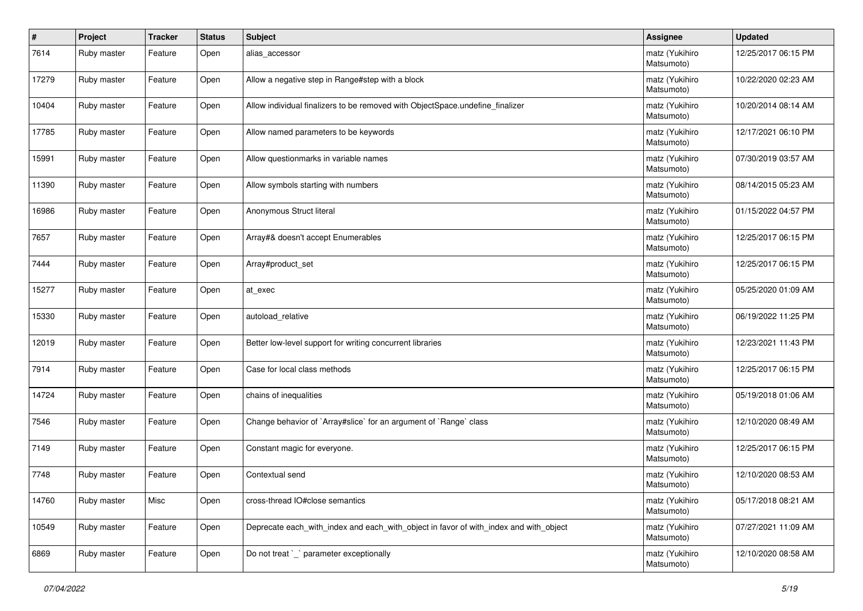| #     | Project     | <b>Tracker</b> | <b>Status</b> | Subject                                                                               | <b>Assignee</b>              | <b>Updated</b>      |
|-------|-------------|----------------|---------------|---------------------------------------------------------------------------------------|------------------------------|---------------------|
| 7614  | Ruby master | Feature        | Open          | alias accessor                                                                        | matz (Yukihiro<br>Matsumoto) | 12/25/2017 06:15 PM |
| 17279 | Ruby master | Feature        | Open          | Allow a negative step in Range#step with a block                                      | matz (Yukihiro<br>Matsumoto) | 10/22/2020 02:23 AM |
| 10404 | Ruby master | Feature        | Open          | Allow individual finalizers to be removed with ObjectSpace.undefine_finalizer         | matz (Yukihiro<br>Matsumoto) | 10/20/2014 08:14 AM |
| 17785 | Ruby master | Feature        | Open          | Allow named parameters to be keywords                                                 | matz (Yukihiro<br>Matsumoto) | 12/17/2021 06:10 PM |
| 15991 | Ruby master | Feature        | Open          | Allow questionmarks in variable names                                                 | matz (Yukihiro<br>Matsumoto) | 07/30/2019 03:57 AM |
| 11390 | Ruby master | Feature        | Open          | Allow symbols starting with numbers                                                   | matz (Yukihiro<br>Matsumoto) | 08/14/2015 05:23 AM |
| 16986 | Ruby master | Feature        | Open          | Anonymous Struct literal                                                              | matz (Yukihiro<br>Matsumoto) | 01/15/2022 04:57 PM |
| 7657  | Ruby master | Feature        | Open          | Array#& doesn't accept Enumerables                                                    | matz (Yukihiro<br>Matsumoto) | 12/25/2017 06:15 PM |
| 7444  | Ruby master | Feature        | Open          | Array#product_set                                                                     | matz (Yukihiro<br>Matsumoto) | 12/25/2017 06:15 PM |
| 15277 | Ruby master | Feature        | Open          | at exec                                                                               | matz (Yukihiro<br>Matsumoto) | 05/25/2020 01:09 AM |
| 15330 | Ruby master | Feature        | Open          | autoload relative                                                                     | matz (Yukihiro<br>Matsumoto) | 06/19/2022 11:25 PM |
| 12019 | Ruby master | Feature        | Open          | Better low-level support for writing concurrent libraries                             | matz (Yukihiro<br>Matsumoto) | 12/23/2021 11:43 PM |
| 7914  | Ruby master | Feature        | Open          | Case for local class methods                                                          | matz (Yukihiro<br>Matsumoto) | 12/25/2017 06:15 PM |
| 14724 | Ruby master | Feature        | Open          | chains of inequalities                                                                | matz (Yukihiro<br>Matsumoto) | 05/19/2018 01:06 AM |
| 7546  | Ruby master | Feature        | Open          | Change behavior of `Array#slice` for an argument of `Range` class                     | matz (Yukihiro<br>Matsumoto) | 12/10/2020 08:49 AM |
| 7149  | Ruby master | Feature        | Open          | Constant magic for everyone.                                                          | matz (Yukihiro<br>Matsumoto) | 12/25/2017 06:15 PM |
| 7748  | Ruby master | Feature        | Open          | Contextual send                                                                       | matz (Yukihiro<br>Matsumoto) | 12/10/2020 08:53 AM |
| 14760 | Ruby master | Misc           | Open          | cross-thread IO#close semantics                                                       | matz (Yukihiro<br>Matsumoto) | 05/17/2018 08:21 AM |
| 10549 | Ruby master | Feature        | Open          | Deprecate each_with_index and each_with_object in favor of with_index and with_object | matz (Yukihiro<br>Matsumoto) | 07/27/2021 11:09 AM |
| 6869  | Ruby master | Feature        | Open          | Do not treat `_` parameter exceptionally                                              | matz (Yukihiro<br>Matsumoto) | 12/10/2020 08:58 AM |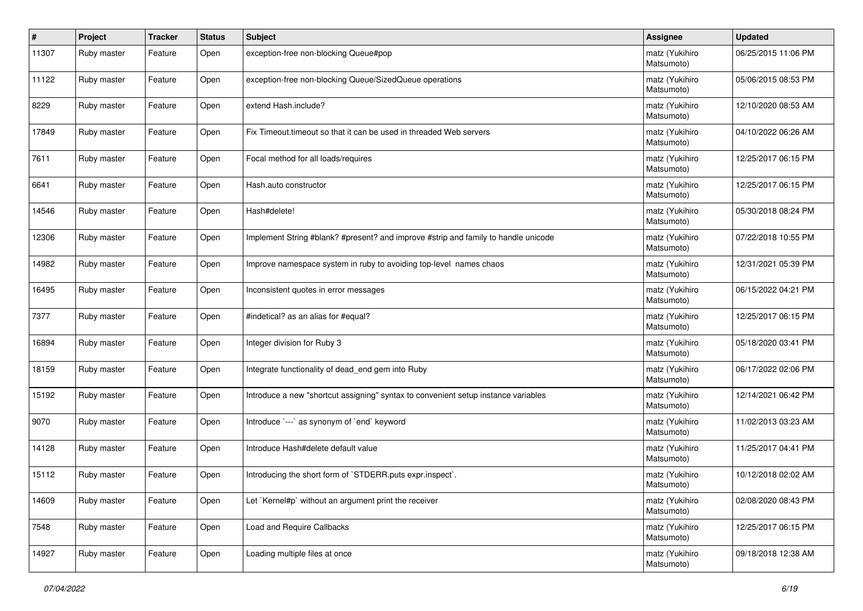| $\vert$ # | Project     | <b>Tracker</b> | <b>Status</b> | <b>Subject</b>                                                                     | <b>Assignee</b>              | <b>Updated</b>      |
|-----------|-------------|----------------|---------------|------------------------------------------------------------------------------------|------------------------------|---------------------|
| 11307     | Ruby master | Feature        | Open          | exception-free non-blocking Queue#pop                                              | matz (Yukihiro<br>Matsumoto) | 06/25/2015 11:06 PM |
| 11122     | Ruby master | Feature        | Open          | exception-free non-blocking Queue/SizedQueue operations                            | matz (Yukihiro<br>Matsumoto) | 05/06/2015 08:53 PM |
| 8229      | Ruby master | Feature        | Open          | extend Hash.include?                                                               | matz (Yukihiro<br>Matsumoto) | 12/10/2020 08:53 AM |
| 17849     | Ruby master | Feature        | Open          | Fix Timeout timeout so that it can be used in threaded Web servers                 | matz (Yukihiro<br>Matsumoto) | 04/10/2022 06:26 AM |
| 7611      | Ruby master | Feature        | Open          | Focal method for all loads/requires                                                | matz (Yukihiro<br>Matsumoto) | 12/25/2017 06:15 PM |
| 6641      | Ruby master | Feature        | Open          | Hash.auto constructor                                                              | matz (Yukihiro<br>Matsumoto) | 12/25/2017 06:15 PM |
| 14546     | Ruby master | Feature        | Open          | Hash#delete!                                                                       | matz (Yukihiro<br>Matsumoto) | 05/30/2018 08:24 PM |
| 12306     | Ruby master | Feature        | Open          | Implement String #blank? #present? and improve #strip and family to handle unicode | matz (Yukihiro<br>Matsumoto) | 07/22/2018 10:55 PM |
| 14982     | Ruby master | Feature        | Open          | Improve namespace system in ruby to avoiding top-level names chaos                 | matz (Yukihiro<br>Matsumoto) | 12/31/2021 05:39 PM |
| 16495     | Ruby master | Feature        | Open          | Inconsistent quotes in error messages                                              | matz (Yukihiro<br>Matsumoto) | 06/15/2022 04:21 PM |
| 7377      | Ruby master | Feature        | Open          | #indetical? as an alias for #equal?                                                | matz (Yukihiro<br>Matsumoto) | 12/25/2017 06:15 PM |
| 16894     | Ruby master | Feature        | Open          | Integer division for Ruby 3                                                        | matz (Yukihiro<br>Matsumoto) | 05/18/2020 03:41 PM |
| 18159     | Ruby master | Feature        | Open          | Integrate functionality of dead_end gem into Ruby                                  | matz (Yukihiro<br>Matsumoto) | 06/17/2022 02:06 PM |
| 15192     | Ruby master | Feature        | Open          | Introduce a new "shortcut assigning" syntax to convenient setup instance variables | matz (Yukihiro<br>Matsumoto) | 12/14/2021 06:42 PM |
| 9070      | Ruby master | Feature        | Open          | Introduce `---` as synonym of `end` keyword                                        | matz (Yukihiro<br>Matsumoto) | 11/02/2013 03:23 AM |
| 14128     | Ruby master | Feature        | Open          | Introduce Hash#delete default value                                                | matz (Yukihiro<br>Matsumoto) | 11/25/2017 04:41 PM |
| 15112     | Ruby master | Feature        | Open          | Introducing the short form of `STDERR.puts expr.inspect`.                          | matz (Yukihiro<br>Matsumoto) | 10/12/2018 02:02 AM |
| 14609     | Ruby master | Feature        | Open          | Let `Kernel#p` without an argument print the receiver                              | matz (Yukihiro<br>Matsumoto) | 02/08/2020 08:43 PM |
| 7548      | Ruby master | Feature        | Open          | Load and Require Callbacks                                                         | matz (Yukihiro<br>Matsumoto) | 12/25/2017 06:15 PM |
| 14927     | Ruby master | Feature        | Open          | Loading multiple files at once                                                     | matz (Yukihiro<br>Matsumoto) | 09/18/2018 12:38 AM |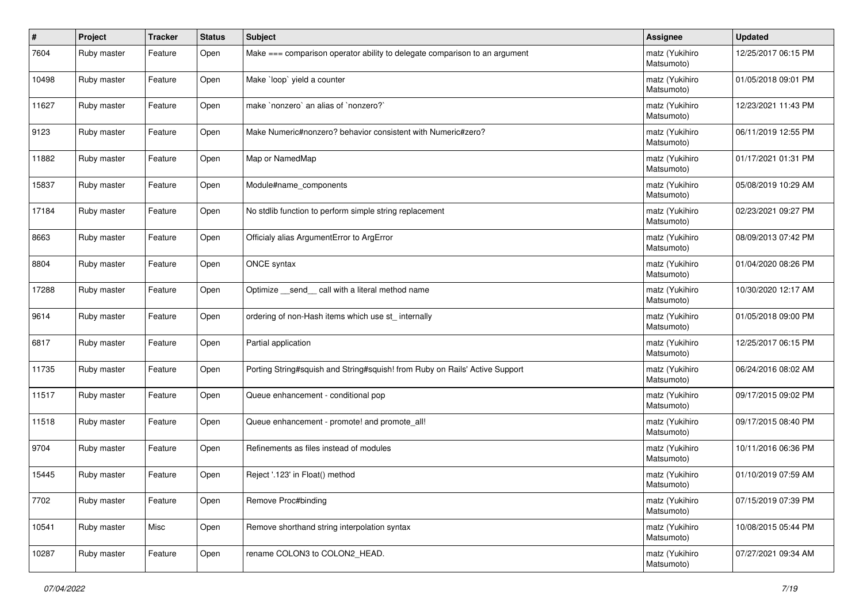| #     | Project     | <b>Tracker</b> | <b>Status</b> | Subject                                                                     | <b>Assignee</b>              | <b>Updated</b>      |
|-------|-------------|----------------|---------------|-----------------------------------------------------------------------------|------------------------------|---------------------|
| 7604  | Ruby master | Feature        | Open          | Make === comparison operator ability to delegate comparison to an argument  | matz (Yukihiro<br>Matsumoto) | 12/25/2017 06:15 PM |
| 10498 | Ruby master | Feature        | Open          | Make `loop` yield a counter                                                 | matz (Yukihiro<br>Matsumoto) | 01/05/2018 09:01 PM |
| 11627 | Ruby master | Feature        | Open          | make `nonzero` an alias of `nonzero?`                                       | matz (Yukihiro<br>Matsumoto) | 12/23/2021 11:43 PM |
| 9123  | Ruby master | Feature        | Open          | Make Numeric#nonzero? behavior consistent with Numeric#zero?                | matz (Yukihiro<br>Matsumoto) | 06/11/2019 12:55 PM |
| 11882 | Ruby master | Feature        | Open          | Map or NamedMap                                                             | matz (Yukihiro<br>Matsumoto) | 01/17/2021 01:31 PM |
| 15837 | Ruby master | Feature        | Open          | Module#name_components                                                      | matz (Yukihiro<br>Matsumoto) | 05/08/2019 10:29 AM |
| 17184 | Ruby master | Feature        | Open          | No stdlib function to perform simple string replacement                     | matz (Yukihiro<br>Matsumoto) | 02/23/2021 09:27 PM |
| 8663  | Ruby master | Feature        | Open          | Officialy alias ArgumentError to ArgError                                   | matz (Yukihiro<br>Matsumoto) | 08/09/2013 07:42 PM |
| 8804  | Ruby master | Feature        | Open          | ONCE syntax                                                                 | matz (Yukihiro<br>Matsumoto) | 01/04/2020 08:26 PM |
| 17288 | Ruby master | Feature        | Open          | Optimize send call with a literal method name                               | matz (Yukihiro<br>Matsumoto) | 10/30/2020 12:17 AM |
| 9614  | Ruby master | Feature        | Open          | ordering of non-Hash items which use st_ internally                         | matz (Yukihiro<br>Matsumoto) | 01/05/2018 09:00 PM |
| 6817  | Ruby master | Feature        | Open          | Partial application                                                         | matz (Yukihiro<br>Matsumoto) | 12/25/2017 06:15 PM |
| 11735 | Ruby master | Feature        | Open          | Porting String#squish and String#squish! from Ruby on Rails' Active Support | matz (Yukihiro<br>Matsumoto) | 06/24/2016 08:02 AM |
| 11517 | Ruby master | Feature        | Open          | Queue enhancement - conditional pop                                         | matz (Yukihiro<br>Matsumoto) | 09/17/2015 09:02 PM |
| 11518 | Ruby master | Feature        | Open          | Queue enhancement - promote! and promote_all!                               | matz (Yukihiro<br>Matsumoto) | 09/17/2015 08:40 PM |
| 9704  | Ruby master | Feature        | Open          | Refinements as files instead of modules                                     | matz (Yukihiro<br>Matsumoto) | 10/11/2016 06:36 PM |
| 15445 | Ruby master | Feature        | Open          | Reject '.123' in Float() method                                             | matz (Yukihiro<br>Matsumoto) | 01/10/2019 07:59 AM |
| 7702  | Ruby master | Feature        | Open          | Remove Proc#binding                                                         | matz (Yukihiro<br>Matsumoto) | 07/15/2019 07:39 PM |
| 10541 | Ruby master | Misc           | Open          | Remove shorthand string interpolation syntax                                | matz (Yukihiro<br>Matsumoto) | 10/08/2015 05:44 PM |
| 10287 | Ruby master | Feature        | Open          | rename COLON3 to COLON2 HEAD.                                               | matz (Yukihiro<br>Matsumoto) | 07/27/2021 09:34 AM |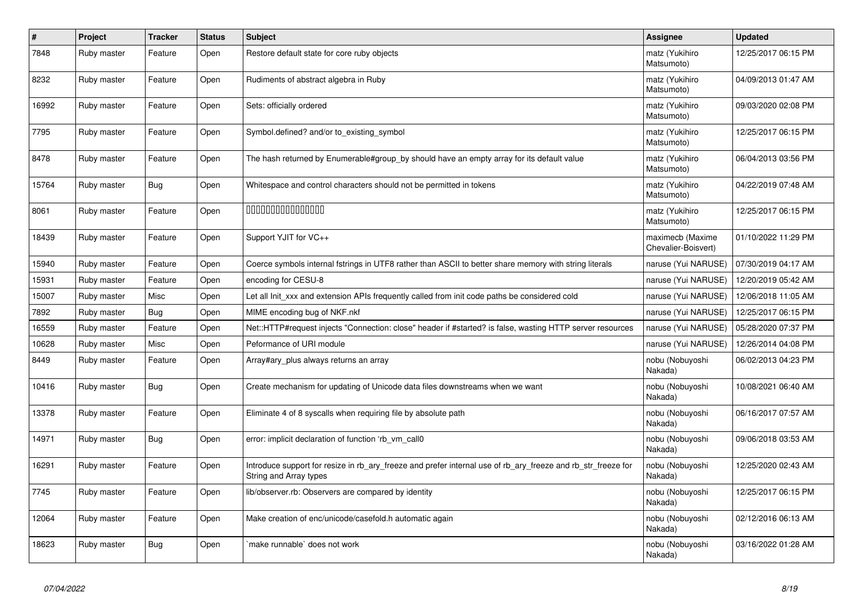| #     | Project     | <b>Tracker</b> | <b>Status</b> | <b>Subject</b>                                                                                                                         | Assignee                                | <b>Updated</b>      |
|-------|-------------|----------------|---------------|----------------------------------------------------------------------------------------------------------------------------------------|-----------------------------------------|---------------------|
| 7848  | Ruby master | Feature        | Open          | Restore default state for core ruby objects                                                                                            | matz (Yukihiro<br>Matsumoto)            | 12/25/2017 06:15 PM |
| 8232  | Ruby master | Feature        | Open          | Rudiments of abstract algebra in Ruby                                                                                                  | matz (Yukihiro<br>Matsumoto)            | 04/09/2013 01:47 AM |
| 16992 | Ruby master | Feature        | Open          | Sets: officially ordered                                                                                                               | matz (Yukihiro<br>Matsumoto)            | 09/03/2020 02:08 PM |
| 7795  | Ruby master | Feature        | Open          | Symbol.defined? and/or to existing symbol                                                                                              | matz (Yukihiro<br>Matsumoto)            | 12/25/2017 06:15 PM |
| 8478  | Ruby master | Feature        | Open          | The hash returned by Enumerable#group by should have an empty array for its default value                                              | matz (Yukihiro<br>Matsumoto)            | 06/04/2013 03:56 PM |
| 15764 | Ruby master | <b>Bug</b>     | Open          | Whitespace and control characters should not be permitted in tokens                                                                    | matz (Yukihiro<br>Matsumoto)            | 04/22/2019 07:48 AM |
| 8061  | Ruby master | Feature        | Open          | 000000000000000                                                                                                                        | matz (Yukihiro<br>Matsumoto)            | 12/25/2017 06:15 PM |
| 18439 | Ruby master | Feature        | Open          | Support YJIT for VC++                                                                                                                  | maximecb (Maxime<br>Chevalier-Boisvert) | 01/10/2022 11:29 PM |
| 15940 | Ruby master | Feature        | Open          | Coerce symbols internal fstrings in UTF8 rather than ASCII to better share memory with string literals                                 | naruse (Yui NARUSE)                     | 07/30/2019 04:17 AM |
| 15931 | Ruby master | Feature        | Open          | encoding for CESU-8                                                                                                                    | naruse (Yui NARUSE)                     | 12/20/2019 05:42 AM |
| 15007 | Ruby master | Misc           | Open          | Let all Init xxx and extension APIs frequently called from init code paths be considered cold                                          | naruse (Yui NARUSE)                     | 12/06/2018 11:05 AM |
| 7892  | Ruby master | <b>Bug</b>     | Open          | MIME encoding bug of NKF.nkf                                                                                                           | naruse (Yui NARUSE)                     | 12/25/2017 06:15 PM |
| 16559 | Ruby master | Feature        | Open          | Net::HTTP#request injects "Connection: close" header if #started? is false, wasting HTTP server resources                              | naruse (Yui NARUSE)                     | 05/28/2020 07:37 PM |
| 10628 | Ruby master | Misc           | Open          | Peformance of URI module                                                                                                               | naruse (Yui NARUSE)                     | 12/26/2014 04:08 PM |
| 8449  | Ruby master | Feature        | Open          | Array#ary_plus always returns an array                                                                                                 | nobu (Nobuyoshi<br>Nakada)              | 06/02/2013 04:23 PM |
| 10416 | Ruby master | Bug            | Open          | Create mechanism for updating of Unicode data files downstreams when we want                                                           | nobu (Nobuyoshi<br>Nakada)              | 10/08/2021 06:40 AM |
| 13378 | Ruby master | Feature        | Open          | Eliminate 4 of 8 syscalls when requiring file by absolute path                                                                         | nobu (Nobuyoshi<br>Nakada)              | 06/16/2017 07:57 AM |
| 14971 | Ruby master | <b>Bug</b>     | Open          | error: implicit declaration of function 'rb_vm_call0                                                                                   | nobu (Nobuyoshi<br>Nakada)              | 09/06/2018 03:53 AM |
| 16291 | Ruby master | Feature        | Open          | Introduce support for resize in rb_ary_freeze and prefer internal use of rb_ary_freeze and rb_str_freeze for<br>String and Array types | nobu (Nobuyoshi<br>Nakada)              | 12/25/2020 02:43 AM |
| 7745  | Ruby master | Feature        | Open          | lib/observer.rb: Observers are compared by identity                                                                                    | nobu (Nobuyoshi<br>Nakada)              | 12/25/2017 06:15 PM |
| 12064 | Ruby master | Feature        | Open          | Make creation of enc/unicode/casefold.h automatic again                                                                                | nobu (Nobuyoshi<br>Nakada)              | 02/12/2016 06:13 AM |
| 18623 | Ruby master | Bug            | Open          | make runnable' does not work                                                                                                           | nobu (Nobuyoshi<br>Nakada)              | 03/16/2022 01:28 AM |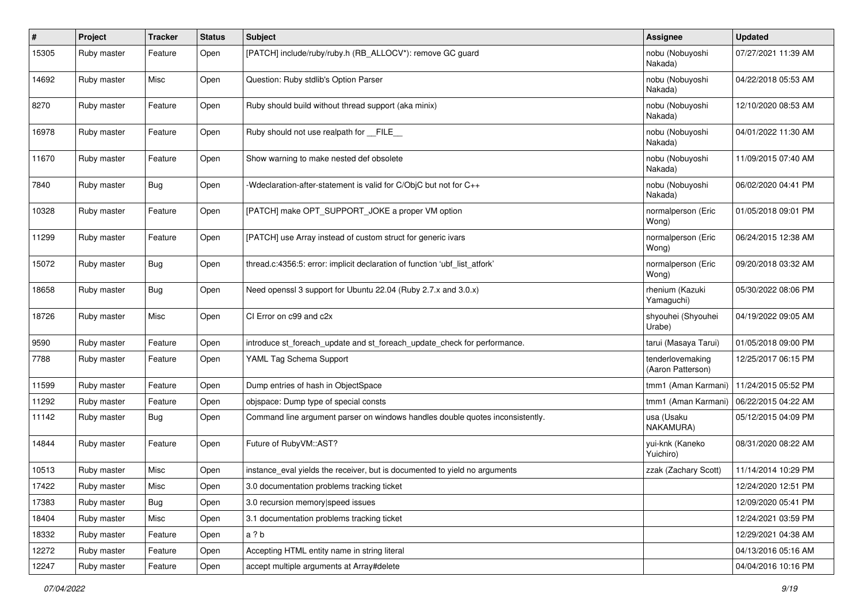| #     | Project     | <b>Tracker</b> | <b>Status</b> | Subject                                                                       | <b>Assignee</b>                       | <b>Updated</b>      |
|-------|-------------|----------------|---------------|-------------------------------------------------------------------------------|---------------------------------------|---------------------|
| 15305 | Ruby master | Feature        | Open          | [PATCH] include/ruby/ruby.h (RB_ALLOCV*): remove GC guard                     | nobu (Nobuyoshi<br>Nakada)            | 07/27/2021 11:39 AM |
| 14692 | Ruby master | Misc           | Open          | Question: Ruby stdlib's Option Parser                                         | nobu (Nobuyoshi<br>Nakada)            | 04/22/2018 05:53 AM |
| 8270  | Ruby master | Feature        | Open          | Ruby should build without thread support (aka minix)                          | nobu (Nobuyoshi<br>Nakada)            | 12/10/2020 08:53 AM |
| 16978 | Ruby master | Feature        | Open          | Ruby should not use realpath for __FILE_                                      | nobu (Nobuyoshi<br>Nakada)            | 04/01/2022 11:30 AM |
| 11670 | Ruby master | Feature        | Open          | Show warning to make nested def obsolete                                      | nobu (Nobuyoshi<br>Nakada)            | 11/09/2015 07:40 AM |
| 7840  | Ruby master | Bug            | Open          | -Wdeclaration-after-statement is valid for C/ObjC but not for C++             | nobu (Nobuyoshi<br>Nakada)            | 06/02/2020 04:41 PM |
| 10328 | Ruby master | Feature        | Open          | [PATCH] make OPT_SUPPORT_JOKE a proper VM option                              | normalperson (Eric<br>Wong)           | 01/05/2018 09:01 PM |
| 11299 | Ruby master | Feature        | Open          | [PATCH] use Array instead of custom struct for generic ivars                  | normalperson (Eric<br>Wong)           | 06/24/2015 12:38 AM |
| 15072 | Ruby master | Bug            | Open          | thread.c:4356:5: error: implicit declaration of function 'ubf_list_atfork'    | normalperson (Eric<br>Wong)           | 09/20/2018 03:32 AM |
| 18658 | Ruby master | Bug            | Open          | Need openssl 3 support for Ubuntu 22.04 (Ruby 2.7.x and 3.0.x)                | rhenium (Kazuki<br>Yamaguchi)         | 05/30/2022 08:06 PM |
| 18726 | Ruby master | Misc           | Open          | CI Error on c99 and c2x                                                       | shyouhei (Shyouhei<br>Urabe)          | 04/19/2022 09:05 AM |
| 9590  | Ruby master | Feature        | Open          | introduce st_foreach_update and st_foreach_update_check for performance.      | tarui (Masaya Tarui)                  | 01/05/2018 09:00 PM |
| 7788  | Ruby master | Feature        | Open          | YAML Tag Schema Support                                                       | tenderlovemaking<br>(Aaron Patterson) | 12/25/2017 06:15 PM |
| 11599 | Ruby master | Feature        | Open          | Dump entries of hash in ObjectSpace                                           | tmm1 (Aman Karmani)                   | 11/24/2015 05:52 PM |
| 11292 | Ruby master | Feature        | Open          | objspace: Dump type of special consts                                         | tmm1 (Aman Karmani)                   | 06/22/2015 04:22 AM |
| 11142 | Ruby master | Bug            | Open          | Command line argument parser on windows handles double quotes inconsistently. | usa (Usaku<br>NAKAMURA)               | 05/12/2015 04:09 PM |
| 14844 | Ruby master | Feature        | Open          | Future of RubyVM::AST?                                                        | yui-knk (Kaneko<br>Yuichiro)          | 08/31/2020 08:22 AM |
| 10513 | Ruby master | Misc           | Open          | instance_eval yields the receiver, but is documented to yield no arguments    | zzak (Zachary Scott)                  | 11/14/2014 10:29 PM |
| 17422 | Ruby master | Misc           | Open          | 3.0 documentation problems tracking ticket                                    |                                       | 12/24/2020 12:51 PM |
| 17383 | Ruby master | Bug            | Open          | 3.0 recursion memory speed issues                                             |                                       | 12/09/2020 05:41 PM |
| 18404 | Ruby master | Misc           | Open          | 3.1 documentation problems tracking ticket                                    |                                       | 12/24/2021 03:59 PM |
| 18332 | Ruby master | Feature        | Open          | a ? b                                                                         |                                       | 12/29/2021 04:38 AM |
| 12272 | Ruby master | Feature        | Open          | Accepting HTML entity name in string literal                                  |                                       | 04/13/2016 05:16 AM |
| 12247 | Ruby master | Feature        | Open          | accept multiple arguments at Array#delete                                     |                                       | 04/04/2016 10:16 PM |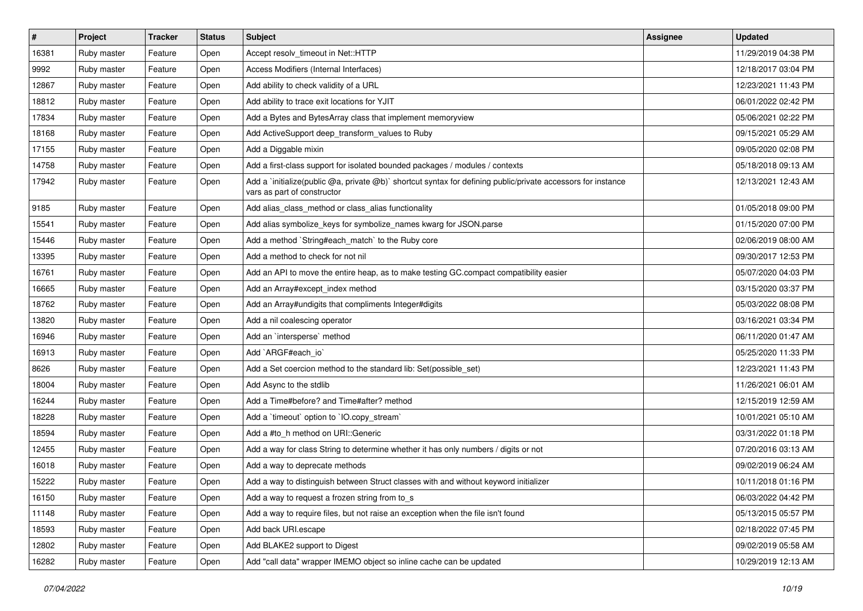| $\vert$ # | Project     | Tracker | <b>Status</b> | Subject                                                                                                                                     | <b>Assignee</b> | <b>Updated</b>      |
|-----------|-------------|---------|---------------|---------------------------------------------------------------------------------------------------------------------------------------------|-----------------|---------------------|
| 16381     | Ruby master | Feature | Open          | Accept resolv_timeout in Net::HTTP                                                                                                          |                 | 11/29/2019 04:38 PM |
| 9992      | Ruby master | Feature | Open          | Access Modifiers (Internal Interfaces)                                                                                                      |                 | 12/18/2017 03:04 PM |
| 12867     | Ruby master | Feature | Open          | Add ability to check validity of a URL                                                                                                      |                 | 12/23/2021 11:43 PM |
| 18812     | Ruby master | Feature | Open          | Add ability to trace exit locations for YJIT                                                                                                |                 | 06/01/2022 02:42 PM |
| 17834     | Ruby master | Feature | Open          | Add a Bytes and BytesArray class that implement memoryview                                                                                  |                 | 05/06/2021 02:22 PM |
| 18168     | Ruby master | Feature | Open          | Add ActiveSupport deep_transform_values to Ruby                                                                                             |                 | 09/15/2021 05:29 AM |
| 17155     | Ruby master | Feature | Open          | Add a Diggable mixin                                                                                                                        |                 | 09/05/2020 02:08 PM |
| 14758     | Ruby master | Feature | Open          | Add a first-class support for isolated bounded packages / modules / contexts                                                                |                 | 05/18/2018 09:13 AM |
| 17942     | Ruby master | Feature | Open          | Add a `initialize(public @a, private @b)` shortcut syntax for defining public/private accessors for instance<br>vars as part of constructor |                 | 12/13/2021 12:43 AM |
| 9185      | Ruby master | Feature | Open          | Add alias_class_method or class_alias functionality                                                                                         |                 | 01/05/2018 09:00 PM |
| 15541     | Ruby master | Feature | Open          | Add alias symbolize_keys for symbolize_names kwarg for JSON.parse                                                                           |                 | 01/15/2020 07:00 PM |
| 15446     | Ruby master | Feature | Open          | Add a method `String#each_match` to the Ruby core                                                                                           |                 | 02/06/2019 08:00 AM |
| 13395     | Ruby master | Feature | Open          | Add a method to check for not nil                                                                                                           |                 | 09/30/2017 12:53 PM |
| 16761     | Ruby master | Feature | Open          | Add an API to move the entire heap, as to make testing GC.compact compatibility easier                                                      |                 | 05/07/2020 04:03 PM |
| 16665     | Ruby master | Feature | Open          | Add an Array#except_index method                                                                                                            |                 | 03/15/2020 03:37 PM |
| 18762     | Ruby master | Feature | Open          | Add an Array#undigits that compliments Integer#digits                                                                                       |                 | 05/03/2022 08:08 PM |
| 13820     | Ruby master | Feature | Open          | Add a nil coalescing operator                                                                                                               |                 | 03/16/2021 03:34 PM |
| 16946     | Ruby master | Feature | Open          | Add an 'intersperse' method                                                                                                                 |                 | 06/11/2020 01:47 AM |
| 16913     | Ruby master | Feature | Open          | Add `ARGF#each_io`                                                                                                                          |                 | 05/25/2020 11:33 PM |
| 8626      | Ruby master | Feature | Open          | Add a Set coercion method to the standard lib: Set(possible_set)                                                                            |                 | 12/23/2021 11:43 PM |
| 18004     | Ruby master | Feature | Open          | Add Async to the stdlib                                                                                                                     |                 | 11/26/2021 06:01 AM |
| 16244     | Ruby master | Feature | Open          | Add a Time#before? and Time#after? method                                                                                                   |                 | 12/15/2019 12:59 AM |
| 18228     | Ruby master | Feature | Open          | Add a 'timeout' option to 'IO.copy_stream'                                                                                                  |                 | 10/01/2021 05:10 AM |
| 18594     | Ruby master | Feature | Open          | Add a #to_h method on URI::Generic                                                                                                          |                 | 03/31/2022 01:18 PM |
| 12455     | Ruby master | Feature | Open          | Add a way for class String to determine whether it has only numbers / digits or not                                                         |                 | 07/20/2016 03:13 AM |
| 16018     | Ruby master | Feature | Open          | Add a way to deprecate methods                                                                                                              |                 | 09/02/2019 06:24 AM |
| 15222     | Ruby master | Feature | Open          | Add a way to distinguish between Struct classes with and without keyword initializer                                                        |                 | 10/11/2018 01:16 PM |
| 16150     | Ruby master | Feature | Open          | Add a way to request a frozen string from to_s                                                                                              |                 | 06/03/2022 04:42 PM |
| 11148     | Ruby master | Feature | Open          | Add a way to require files, but not raise an exception when the file isn't found                                                            |                 | 05/13/2015 05:57 PM |
| 18593     | Ruby master | Feature | Open          | Add back URI.escape                                                                                                                         |                 | 02/18/2022 07:45 PM |
| 12802     | Ruby master | Feature | Open          | Add BLAKE2 support to Digest                                                                                                                |                 | 09/02/2019 05:58 AM |
| 16282     | Ruby master | Feature | Open          | Add "call data" wrapper IMEMO object so inline cache can be updated                                                                         |                 | 10/29/2019 12:13 AM |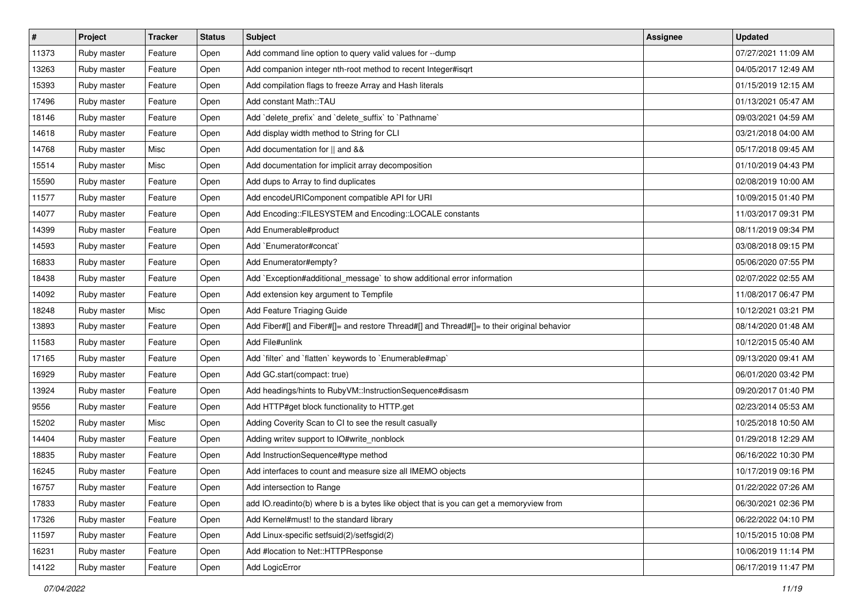| $\vert$ # | Project     | <b>Tracker</b> | <b>Status</b> | Subject                                                                                    | Assignee | <b>Updated</b>      |
|-----------|-------------|----------------|---------------|--------------------------------------------------------------------------------------------|----------|---------------------|
| 11373     | Ruby master | Feature        | Open          | Add command line option to query valid values for --dump                                   |          | 07/27/2021 11:09 AM |
| 13263     | Ruby master | Feature        | Open          | Add companion integer nth-root method to recent Integer#isqrt                              |          | 04/05/2017 12:49 AM |
| 15393     | Ruby master | Feature        | Open          | Add compilation flags to freeze Array and Hash literals                                    |          | 01/15/2019 12:15 AM |
| 17496     | Ruby master | Feature        | Open          | Add constant Math::TAU                                                                     |          | 01/13/2021 05:47 AM |
| 18146     | Ruby master | Feature        | Open          | Add `delete_prefix` and `delete_suffix` to `Pathname`                                      |          | 09/03/2021 04:59 AM |
| 14618     | Ruby master | Feature        | Open          | Add display width method to String for CLI                                                 |          | 03/21/2018 04:00 AM |
| 14768     | Ruby master | Misc           | Open          | Add documentation for    and &&                                                            |          | 05/17/2018 09:45 AM |
| 15514     | Ruby master | Misc           | Open          | Add documentation for implicit array decomposition                                         |          | 01/10/2019 04:43 PM |
| 15590     | Ruby master | Feature        | Open          | Add dups to Array to find duplicates                                                       |          | 02/08/2019 10:00 AM |
| 11577     | Ruby master | Feature        | Open          | Add encodeURIComponent compatible API for URI                                              |          | 10/09/2015 01:40 PM |
| 14077     | Ruby master | Feature        | Open          | Add Encoding::FILESYSTEM and Encoding::LOCALE constants                                    |          | 11/03/2017 09:31 PM |
| 14399     | Ruby master | Feature        | Open          | Add Enumerable#product                                                                     |          | 08/11/2019 09:34 PM |
| 14593     | Ruby master | Feature        | Open          | Add `Enumerator#concat`                                                                    |          | 03/08/2018 09:15 PM |
| 16833     | Ruby master | Feature        | Open          | Add Enumerator#empty?                                                                      |          | 05/06/2020 07:55 PM |
| 18438     | Ruby master | Feature        | Open          | Add `Exception#additional_message` to show additional error information                    |          | 02/07/2022 02:55 AM |
| 14092     | Ruby master | Feature        | Open          | Add extension key argument to Tempfile                                                     |          | 11/08/2017 06:47 PM |
| 18248     | Ruby master | Misc           | Open          | Add Feature Triaging Guide                                                                 |          | 10/12/2021 03:21 PM |
| 13893     | Ruby master | Feature        | Open          | Add Fiber#[] and Fiber#[]= and restore Thread#[] and Thread#[]= to their original behavior |          | 08/14/2020 01:48 AM |
| 11583     | Ruby master | Feature        | Open          | Add File#unlink                                                                            |          | 10/12/2015 05:40 AM |
| 17165     | Ruby master | Feature        | Open          | Add 'filter' and 'flatten' keywords to 'Enumerable#map'                                    |          | 09/13/2020 09:41 AM |
| 16929     | Ruby master | Feature        | Open          | Add GC.start(compact: true)                                                                |          | 06/01/2020 03:42 PM |
| 13924     | Ruby master | Feature        | Open          | Add headings/hints to RubyVM::InstructionSequence#disasm                                   |          | 09/20/2017 01:40 PM |
| 9556      | Ruby master | Feature        | Open          | Add HTTP#get block functionality to HTTP.get                                               |          | 02/23/2014 05:53 AM |
| 15202     | Ruby master | Misc           | Open          | Adding Coverity Scan to CI to see the result casually                                      |          | 10/25/2018 10:50 AM |
| 14404     | Ruby master | Feature        | Open          | Adding writev support to IO#write_nonblock                                                 |          | 01/29/2018 12:29 AM |
| 18835     | Ruby master | Feature        | Open          | Add InstructionSequence#type method                                                        |          | 06/16/2022 10:30 PM |
| 16245     | Ruby master | Feature        | Open          | Add interfaces to count and measure size all IMEMO objects                                 |          | 10/17/2019 09:16 PM |
| 16757     | Ruby master | Feature        | Open          | Add intersection to Range                                                                  |          | 01/22/2022 07:26 AM |
| 17833     | Ruby master | Feature        | Open          | add IO.readinto(b) where b is a bytes like object that is you can get a memoryview from    |          | 06/30/2021 02:36 PM |
| 17326     | Ruby master | Feature        | Open          | Add Kernel#must! to the standard library                                                   |          | 06/22/2022 04:10 PM |
| 11597     | Ruby master | Feature        | Open          | Add Linux-specific setfsuid(2)/setfsgid(2)                                                 |          | 10/15/2015 10:08 PM |
| 16231     | Ruby master | Feature        | Open          | Add #location to Net::HTTPResponse                                                         |          | 10/06/2019 11:14 PM |
| 14122     | Ruby master | Feature        | Open          | Add LogicError                                                                             |          | 06/17/2019 11:47 PM |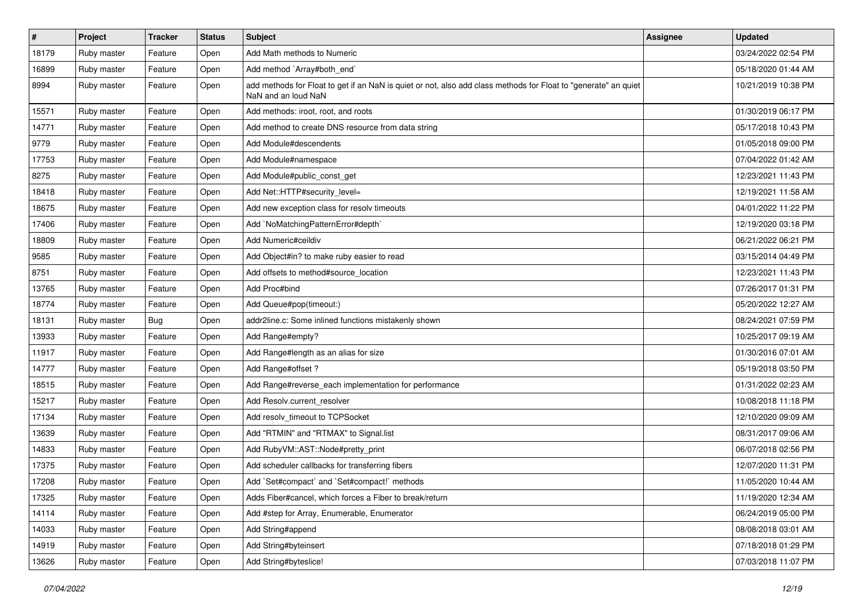| $\sharp$ | Project     | <b>Tracker</b> | <b>Status</b> | Subject                                                                                                                                | <b>Assignee</b> | <b>Updated</b>      |
|----------|-------------|----------------|---------------|----------------------------------------------------------------------------------------------------------------------------------------|-----------------|---------------------|
| 18179    | Ruby master | Feature        | Open          | Add Math methods to Numeric                                                                                                            |                 | 03/24/2022 02:54 PM |
| 16899    | Ruby master | Feature        | Open          | Add method `Array#both_end`                                                                                                            |                 | 05/18/2020 01:44 AM |
| 8994     | Ruby master | Feature        | Open          | add methods for Float to get if an NaN is quiet or not, also add class methods for Float to "generate" an quiet<br>NaN and an loud NaN |                 | 10/21/2019 10:38 PM |
| 15571    | Ruby master | Feature        | Open          | Add methods: iroot, root, and roots                                                                                                    |                 | 01/30/2019 06:17 PM |
| 14771    | Ruby master | Feature        | Open          | Add method to create DNS resource from data string                                                                                     |                 | 05/17/2018 10:43 PM |
| 9779     | Ruby master | Feature        | Open          | Add Module#descendents                                                                                                                 |                 | 01/05/2018 09:00 PM |
| 17753    | Ruby master | Feature        | Open          | Add Module#namespace                                                                                                                   |                 | 07/04/2022 01:42 AM |
| 8275     | Ruby master | Feature        | Open          | Add Module#public_const_get                                                                                                            |                 | 12/23/2021 11:43 PM |
| 18418    | Ruby master | Feature        | Open          | Add Net::HTTP#security_level=                                                                                                          |                 | 12/19/2021 11:58 AM |
| 18675    | Ruby master | Feature        | Open          | Add new exception class for resolv timeouts                                                                                            |                 | 04/01/2022 11:22 PM |
| 17406    | Ruby master | Feature        | Open          | Add `NoMatchingPatternError#depth`                                                                                                     |                 | 12/19/2020 03:18 PM |
| 18809    | Ruby master | Feature        | Open          | Add Numeric#ceildiv                                                                                                                    |                 | 06/21/2022 06:21 PM |
| 9585     | Ruby master | Feature        | Open          | Add Object#in? to make ruby easier to read                                                                                             |                 | 03/15/2014 04:49 PM |
| 8751     | Ruby master | Feature        | Open          | Add offsets to method#source_location                                                                                                  |                 | 12/23/2021 11:43 PM |
| 13765    | Ruby master | Feature        | Open          | Add Proc#bind                                                                                                                          |                 | 07/26/2017 01:31 PM |
| 18774    | Ruby master | Feature        | Open          | Add Queue#pop(timeout:)                                                                                                                |                 | 05/20/2022 12:27 AM |
| 18131    | Ruby master | Bug            | Open          | addr2line.c: Some inlined functions mistakenly shown                                                                                   |                 | 08/24/2021 07:59 PM |
| 13933    | Ruby master | Feature        | Open          | Add Range#empty?                                                                                                                       |                 | 10/25/2017 09:19 AM |
| 11917    | Ruby master | Feature        | Open          | Add Range#length as an alias for size                                                                                                  |                 | 01/30/2016 07:01 AM |
| 14777    | Ruby master | Feature        | Open          | Add Range#offset ?                                                                                                                     |                 | 05/19/2018 03:50 PM |
| 18515    | Ruby master | Feature        | Open          | Add Range#reverse_each implementation for performance                                                                                  |                 | 01/31/2022 02:23 AM |
| 15217    | Ruby master | Feature        | Open          | Add Resolv.current_resolver                                                                                                            |                 | 10/08/2018 11:18 PM |
| 17134    | Ruby master | Feature        | Open          | Add resolv_timeout to TCPSocket                                                                                                        |                 | 12/10/2020 09:09 AM |
| 13639    | Ruby master | Feature        | Open          | Add "RTMIN" and "RTMAX" to Signal.list                                                                                                 |                 | 08/31/2017 09:06 AM |
| 14833    | Ruby master | Feature        | Open          | Add RubyVM::AST::Node#pretty_print                                                                                                     |                 | 06/07/2018 02:56 PM |
| 17375    | Ruby master | Feature        | Open          | Add scheduler callbacks for transferring fibers                                                                                        |                 | 12/07/2020 11:31 PM |
| 17208    | Ruby master | Feature        | Open          | Add `Set#compact` and `Set#compact!` methods                                                                                           |                 | 11/05/2020 10:44 AM |
| 17325    | Ruby master | Feature        | Open          | Adds Fiber#cancel, which forces a Fiber to break/return                                                                                |                 | 11/19/2020 12:34 AM |
| 14114    | Ruby master | Feature        | Open          | Add #step for Array, Enumerable, Enumerator                                                                                            |                 | 06/24/2019 05:00 PM |
| 14033    | Ruby master | Feature        | Open          | Add String#append                                                                                                                      |                 | 08/08/2018 03:01 AM |
| 14919    | Ruby master | Feature        | Open          | Add String#byteinsert                                                                                                                  |                 | 07/18/2018 01:29 PM |
| 13626    | Ruby master | Feature        | Open          | Add String#byteslice!                                                                                                                  |                 | 07/03/2018 11:07 PM |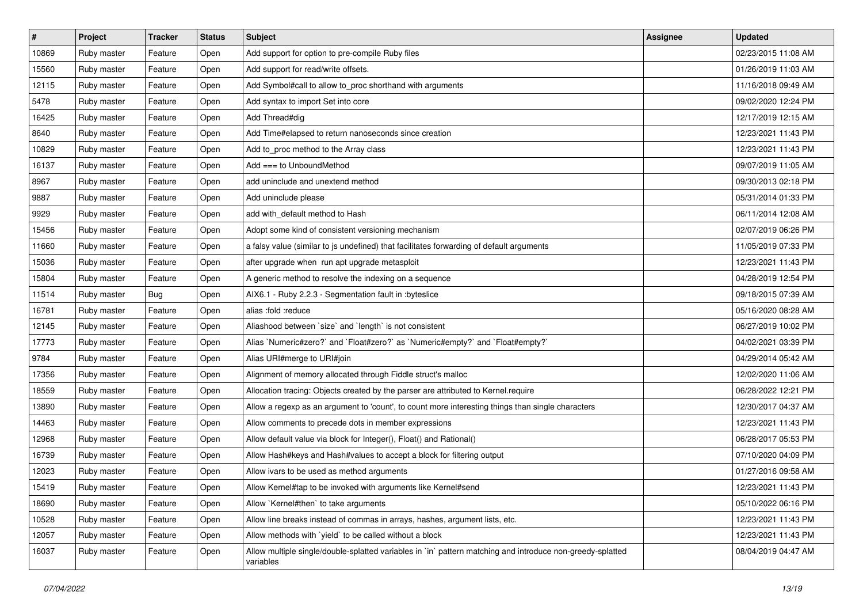| $\vert$ # | Project     | <b>Tracker</b> | <b>Status</b> | <b>Subject</b>                                                                                                          | <b>Assignee</b> | <b>Updated</b>      |
|-----------|-------------|----------------|---------------|-------------------------------------------------------------------------------------------------------------------------|-----------------|---------------------|
| 10869     | Ruby master | Feature        | Open          | Add support for option to pre-compile Ruby files                                                                        |                 | 02/23/2015 11:08 AM |
| 15560     | Ruby master | Feature        | Open          | Add support for read/write offsets.                                                                                     |                 | 01/26/2019 11:03 AM |
| 12115     | Ruby master | Feature        | Open          | Add Symbol#call to allow to_proc shorthand with arguments                                                               |                 | 11/16/2018 09:49 AM |
| 5478      | Ruby master | Feature        | Open          | Add syntax to import Set into core                                                                                      |                 | 09/02/2020 12:24 PM |
| 16425     | Ruby master | Feature        | Open          | Add Thread#dig                                                                                                          |                 | 12/17/2019 12:15 AM |
| 8640      | Ruby master | Feature        | Open          | Add Time#elapsed to return nanoseconds since creation                                                                   |                 | 12/23/2021 11:43 PM |
| 10829     | Ruby master | Feature        | Open          | Add to_proc method to the Array class                                                                                   |                 | 12/23/2021 11:43 PM |
| 16137     | Ruby master | Feature        | Open          | $Add == to UnboundMethod$                                                                                               |                 | 09/07/2019 11:05 AM |
| 8967      | Ruby master | Feature        | Open          | add uninclude and unextend method                                                                                       |                 | 09/30/2013 02:18 PM |
| 9887      | Ruby master | Feature        | Open          | Add uninclude please                                                                                                    |                 | 05/31/2014 01:33 PM |
| 9929      | Ruby master | Feature        | Open          | add with default method to Hash                                                                                         |                 | 06/11/2014 12:08 AM |
| 15456     | Ruby master | Feature        | Open          | Adopt some kind of consistent versioning mechanism                                                                      |                 | 02/07/2019 06:26 PM |
| 11660     | Ruby master | Feature        | Open          | a falsy value (similar to js undefined) that facilitates forwarding of default arguments                                |                 | 11/05/2019 07:33 PM |
| 15036     | Ruby master | Feature        | Open          | after upgrade when run apt upgrade metasploit                                                                           |                 | 12/23/2021 11:43 PM |
| 15804     | Ruby master | Feature        | Open          | A generic method to resolve the indexing on a sequence                                                                  |                 | 04/28/2019 12:54 PM |
| 11514     | Ruby master | <b>Bug</b>     | Open          | AIX6.1 - Ruby 2.2.3 - Segmentation fault in :byteslice                                                                  |                 | 09/18/2015 07:39 AM |
| 16781     | Ruby master | Feature        | Open          | alias :fold :reduce                                                                                                     |                 | 05/16/2020 08:28 AM |
| 12145     | Ruby master | Feature        | Open          | Aliashood between 'size' and 'length' is not consistent                                                                 |                 | 06/27/2019 10:02 PM |
| 17773     | Ruby master | Feature        | Open          | Alias `Numeric#zero?` and `Float#zero?` as `Numeric#empty?` and `Float#empty?`                                          |                 | 04/02/2021 03:39 PM |
| 9784      | Ruby master | Feature        | Open          | Alias URI#merge to URI#join                                                                                             |                 | 04/29/2014 05:42 AM |
| 17356     | Ruby master | Feature        | Open          | Alignment of memory allocated through Fiddle struct's malloc                                                            |                 | 12/02/2020 11:06 AM |
| 18559     | Ruby master | Feature        | Open          | Allocation tracing: Objects created by the parser are attributed to Kernel.require                                      |                 | 06/28/2022 12:21 PM |
| 13890     | Ruby master | Feature        | Open          | Allow a regexp as an argument to 'count', to count more interesting things than single characters                       |                 | 12/30/2017 04:37 AM |
| 14463     | Ruby master | Feature        | Open          | Allow comments to precede dots in member expressions                                                                    |                 | 12/23/2021 11:43 PM |
| 12968     | Ruby master | Feature        | Open          | Allow default value via block for Integer(), Float() and Rational()                                                     |                 | 06/28/2017 05:53 PM |
| 16739     | Ruby master | Feature        | Open          | Allow Hash#keys and Hash#values to accept a block for filtering output                                                  |                 | 07/10/2020 04:09 PM |
| 12023     | Ruby master | Feature        | Open          | Allow ivars to be used as method arguments                                                                              |                 | 01/27/2016 09:58 AM |
| 15419     | Ruby master | Feature        | Open          | Allow Kernel#tap to be invoked with arguments like Kernel#send                                                          |                 | 12/23/2021 11:43 PM |
| 18690     | Ruby master | Feature        | Open          | Allow `Kernel#then` to take arguments                                                                                   |                 | 05/10/2022 06:16 PM |
| 10528     | Ruby master | Feature        | Open          | Allow line breaks instead of commas in arrays, hashes, argument lists, etc.                                             |                 | 12/23/2021 11:43 PM |
| 12057     | Ruby master | Feature        | Open          | Allow methods with 'yield' to be called without a block                                                                 |                 | 12/23/2021 11:43 PM |
| 16037     | Ruby master | Feature        | Open          | Allow multiple single/double-splatted variables in `in` pattern matching and introduce non-greedy-splatted<br>variables |                 | 08/04/2019 04:47 AM |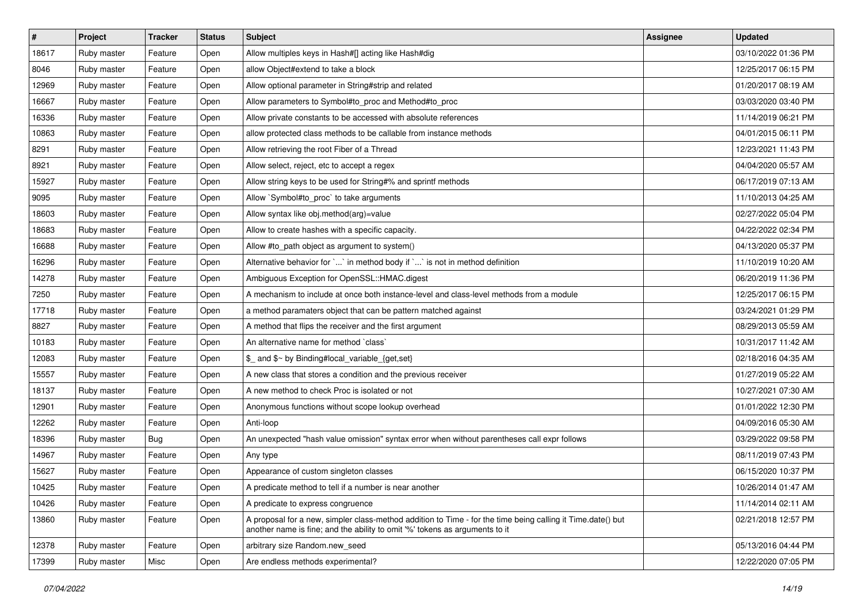| $\vert$ # | Project     | Tracker    | <b>Status</b> | Subject                                                                                                                                                                                    | <b>Assignee</b> | <b>Updated</b>      |
|-----------|-------------|------------|---------------|--------------------------------------------------------------------------------------------------------------------------------------------------------------------------------------------|-----------------|---------------------|
| 18617     | Ruby master | Feature    | Open          | Allow multiples keys in Hash#[] acting like Hash#dig                                                                                                                                       |                 | 03/10/2022 01:36 PM |
| 8046      | Ruby master | Feature    | Open          | allow Object#extend to take a block                                                                                                                                                        |                 | 12/25/2017 06:15 PM |
| 12969     | Ruby master | Feature    | Open          | Allow optional parameter in String#strip and related                                                                                                                                       |                 | 01/20/2017 08:19 AM |
| 16667     | Ruby master | Feature    | Open          | Allow parameters to Symbol#to_proc and Method#to_proc                                                                                                                                      |                 | 03/03/2020 03:40 PM |
| 16336     | Ruby master | Feature    | Open          | Allow private constants to be accessed with absolute references                                                                                                                            |                 | 11/14/2019 06:21 PM |
| 10863     | Ruby master | Feature    | Open          | allow protected class methods to be callable from instance methods                                                                                                                         |                 | 04/01/2015 06:11 PM |
| 8291      | Ruby master | Feature    | Open          | Allow retrieving the root Fiber of a Thread                                                                                                                                                |                 | 12/23/2021 11:43 PM |
| 8921      | Ruby master | Feature    | Open          | Allow select, reject, etc to accept a regex                                                                                                                                                |                 | 04/04/2020 05:57 AM |
| 15927     | Ruby master | Feature    | Open          | Allow string keys to be used for String#% and sprintf methods                                                                                                                              |                 | 06/17/2019 07:13 AM |
| 9095      | Ruby master | Feature    | Open          | Allow `Symbol#to_proc` to take arguments                                                                                                                                                   |                 | 11/10/2013 04:25 AM |
| 18603     | Ruby master | Feature    | Open          | Allow syntax like obj.method(arg)=value                                                                                                                                                    |                 | 02/27/2022 05:04 PM |
| 18683     | Ruby master | Feature    | Open          | Allow to create hashes with a specific capacity.                                                                                                                                           |                 | 04/22/2022 02:34 PM |
| 16688     | Ruby master | Feature    | Open          | Allow #to_path object as argument to system()                                                                                                                                              |                 | 04/13/2020 05:37 PM |
| 16296     | Ruby master | Feature    | Open          | Alternative behavior for ` ` in method body if ` ` is not in method definition                                                                                                             |                 | 11/10/2019 10:20 AM |
| 14278     | Ruby master | Feature    | Open          | Ambiguous Exception for OpenSSL::HMAC.digest                                                                                                                                               |                 | 06/20/2019 11:36 PM |
| 7250      | Ruby master | Feature    | Open          | A mechanism to include at once both instance-level and class-level methods from a module                                                                                                   |                 | 12/25/2017 06:15 PM |
| 17718     | Ruby master | Feature    | Open          | a method paramaters object that can be pattern matched against                                                                                                                             |                 | 03/24/2021 01:29 PM |
| 8827      | Ruby master | Feature    | Open          | A method that flips the receiver and the first argument                                                                                                                                    |                 | 08/29/2013 05:59 AM |
| 10183     | Ruby master | Feature    | Open          | An alternative name for method `class`                                                                                                                                                     |                 | 10/31/2017 11:42 AM |
| 12083     | Ruby master | Feature    | Open          | \$_ and \$~ by Binding#local_variable_{get,set}                                                                                                                                            |                 | 02/18/2016 04:35 AM |
| 15557     | Ruby master | Feature    | Open          | A new class that stores a condition and the previous receiver                                                                                                                              |                 | 01/27/2019 05:22 AM |
| 18137     | Ruby master | Feature    | Open          | A new method to check Proc is isolated or not                                                                                                                                              |                 | 10/27/2021 07:30 AM |
| 12901     | Ruby master | Feature    | Open          | Anonymous functions without scope lookup overhead                                                                                                                                          |                 | 01/01/2022 12:30 PM |
| 12262     | Ruby master | Feature    | Open          | Anti-loop                                                                                                                                                                                  |                 | 04/09/2016 05:30 AM |
| 18396     | Ruby master | <b>Bug</b> | Open          | An unexpected "hash value omission" syntax error when without parentheses call expr follows                                                                                                |                 | 03/29/2022 09:58 PM |
| 14967     | Ruby master | Feature    | Open          | Any type                                                                                                                                                                                   |                 | 08/11/2019 07:43 PM |
| 15627     | Ruby master | Feature    | Open          | Appearance of custom singleton classes                                                                                                                                                     |                 | 06/15/2020 10:37 PM |
| 10425     | Ruby master | Feature    | Open          | A predicate method to tell if a number is near another                                                                                                                                     |                 | 10/26/2014 01:47 AM |
| 10426     | Ruby master | Feature    | Open          | A predicate to express congruence                                                                                                                                                          |                 | 11/14/2014 02:11 AM |
| 13860     | Ruby master | Feature    | Open          | A proposal for a new, simpler class-method addition to Time - for the time being calling it Time.date() but<br>another name is fine; and the ability to omit '%' tokens as arguments to it |                 | 02/21/2018 12:57 PM |
| 12378     | Ruby master | Feature    | Open          | arbitrary size Random.new_seed                                                                                                                                                             |                 | 05/13/2016 04:44 PM |
| 17399     | Ruby master | Misc       | Open          | Are endless methods experimental?                                                                                                                                                          |                 | 12/22/2020 07:05 PM |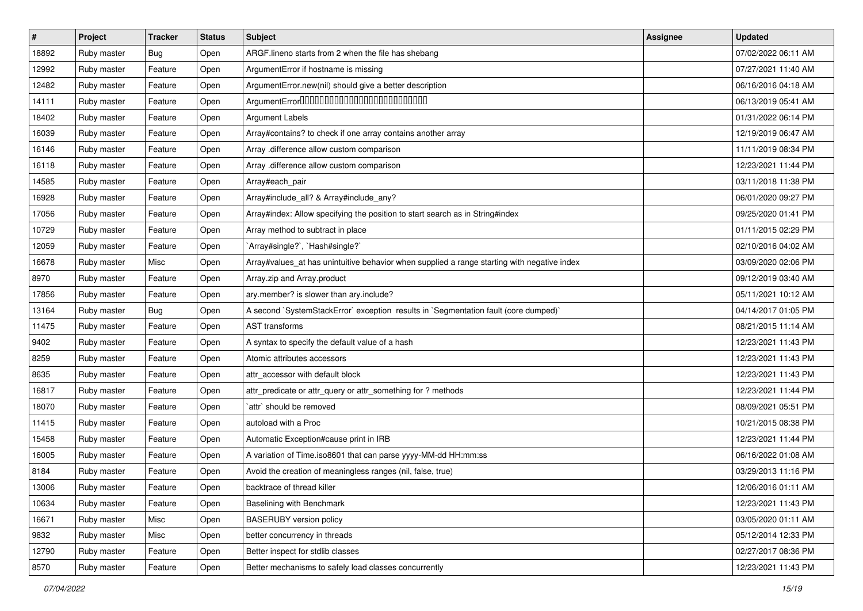| $\vert$ # | Project     | <b>Tracker</b> | <b>Status</b> | Subject                                                                                     | <b>Assignee</b> | <b>Updated</b>      |
|-----------|-------------|----------------|---------------|---------------------------------------------------------------------------------------------|-----------------|---------------------|
| 18892     | Ruby master | Bug            | Open          | ARGF.lineno starts from 2 when the file has shebang                                         |                 | 07/02/2022 06:11 AM |
| 12992     | Ruby master | Feature        | Open          | ArgumentError if hostname is missing                                                        |                 | 07/27/2021 11:40 AM |
| 12482     | Ruby master | Feature        | Open          | ArgumentError.new(nil) should give a better description                                     |                 | 06/16/2016 04:18 AM |
| 14111     | Ruby master | Feature        | Open          | ArgumentError0000000000000000000000000                                                      |                 | 06/13/2019 05:41 AM |
| 18402     | Ruby master | Feature        | Open          | <b>Argument Labels</b>                                                                      |                 | 01/31/2022 06:14 PM |
| 16039     | Ruby master | Feature        | Open          | Array#contains? to check if one array contains another array                                |                 | 12/19/2019 06:47 AM |
| 16146     | Ruby master | Feature        | Open          | Array .difference allow custom comparison                                                   |                 | 11/11/2019 08:34 PM |
| 16118     | Ruby master | Feature        | Open          | Array .difference allow custom comparison                                                   |                 | 12/23/2021 11:44 PM |
| 14585     | Ruby master | Feature        | Open          | Array#each_pair                                                                             |                 | 03/11/2018 11:38 PM |
| 16928     | Ruby master | Feature        | Open          | Array#include_all? & Array#include_any?                                                     |                 | 06/01/2020 09:27 PM |
| 17056     | Ruby master | Feature        | Open          | Array#index: Allow specifying the position to start search as in String#index               |                 | 09/25/2020 01:41 PM |
| 10729     | Ruby master | Feature        | Open          | Array method to subtract in place                                                           |                 | 01/11/2015 02:29 PM |
| 12059     | Ruby master | Feature        | Open          | `Array#single?`, `Hash#single?`                                                             |                 | 02/10/2016 04:02 AM |
| 16678     | Ruby master | Misc           | Open          | Array#values_at has unintuitive behavior when supplied a range starting with negative index |                 | 03/09/2020 02:06 PM |
| 8970      | Ruby master | Feature        | Open          | Array.zip and Array.product                                                                 |                 | 09/12/2019 03:40 AM |
| 17856     | Ruby master | Feature        | Open          | ary.member? is slower than ary.include?                                                     |                 | 05/11/2021 10:12 AM |
| 13164     | Ruby master | Bug            | Open          | A second `SystemStackError` exception results in `Segmentation fault (core dumped)`         |                 | 04/14/2017 01:05 PM |
| 11475     | Ruby master | Feature        | Open          | <b>AST</b> transforms                                                                       |                 | 08/21/2015 11:14 AM |
| 9402      | Ruby master | Feature        | Open          | A syntax to specify the default value of a hash                                             |                 | 12/23/2021 11:43 PM |
| 8259      | Ruby master | Feature        | Open          | Atomic attributes accessors                                                                 |                 | 12/23/2021 11:43 PM |
| 8635      | Ruby master | Feature        | Open          | attr accessor with default block                                                            |                 | 12/23/2021 11:43 PM |
| 16817     | Ruby master | Feature        | Open          | attr_predicate or attr_query or attr_something for ? methods                                |                 | 12/23/2021 11:44 PM |
| 18070     | Ruby master | Feature        | Open          | `attr` should be removed                                                                    |                 | 08/09/2021 05:51 PM |
| 11415     | Ruby master | Feature        | Open          | autoload with a Proc                                                                        |                 | 10/21/2015 08:38 PM |
| 15458     | Ruby master | Feature        | Open          | Automatic Exception#cause print in IRB                                                      |                 | 12/23/2021 11:44 PM |
| 16005     | Ruby master | Feature        | Open          | A variation of Time.iso8601 that can parse yyyy-MM-dd HH:mm:ss                              |                 | 06/16/2022 01:08 AM |
| 8184      | Ruby master | Feature        | Open          | Avoid the creation of meaningless ranges (nil, false, true)                                 |                 | 03/29/2013 11:16 PM |
| 13006     | Ruby master | Feature        | Open          | backtrace of thread killer                                                                  |                 | 12/06/2016 01:11 AM |
| 10634     | Ruby master | Feature        | Open          | Baselining with Benchmark                                                                   |                 | 12/23/2021 11:43 PM |
| 16671     | Ruby master | Misc           | Open          | <b>BASERUBY</b> version policy                                                              |                 | 03/05/2020 01:11 AM |
| 9832      | Ruby master | Misc           | Open          | better concurrency in threads                                                               |                 | 05/12/2014 12:33 PM |
| 12790     | Ruby master | Feature        | Open          | Better inspect for stdlib classes                                                           |                 | 02/27/2017 08:36 PM |
| 8570      | Ruby master | Feature        | Open          | Better mechanisms to safely load classes concurrently                                       |                 | 12/23/2021 11:43 PM |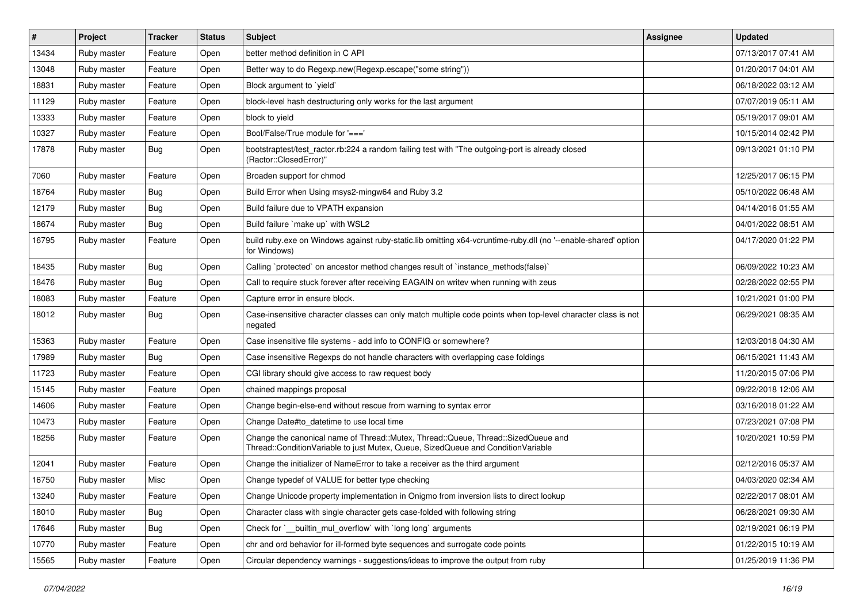| $\#$  | Project     | <b>Tracker</b> | <b>Status</b> | Subject                                                                                                                                                               | <b>Assignee</b> | <b>Updated</b>      |
|-------|-------------|----------------|---------------|-----------------------------------------------------------------------------------------------------------------------------------------------------------------------|-----------------|---------------------|
| 13434 | Ruby master | Feature        | Open          | better method definition in C API                                                                                                                                     |                 | 07/13/2017 07:41 AM |
| 13048 | Ruby master | Feature        | Open          | Better way to do Regexp.new(Regexp.escape("some string"))                                                                                                             |                 | 01/20/2017 04:01 AM |
| 18831 | Ruby master | Feature        | Open          | Block argument to 'yield'                                                                                                                                             |                 | 06/18/2022 03:12 AM |
| 11129 | Ruby master | Feature        | Open          | block-level hash destructuring only works for the last argument                                                                                                       |                 | 07/07/2019 05:11 AM |
| 13333 | Ruby master | Feature        | Open          | block to yield                                                                                                                                                        |                 | 05/19/2017 09:01 AM |
| 10327 | Ruby master | Feature        | Open          | Bool/False/True module for '==='                                                                                                                                      |                 | 10/15/2014 02:42 PM |
| 17878 | Ruby master | Bug            | Open          | bootstraptest/test_ractor.rb:224 a random failing test with "The outgoing-port is already closed<br>(Ractor::ClosedError)"                                            |                 | 09/13/2021 01:10 PM |
| 7060  | Ruby master | Feature        | Open          | Broaden support for chmod                                                                                                                                             |                 | 12/25/2017 06:15 PM |
| 18764 | Ruby master | Bug            | Open          | Build Error when Using msys2-mingw64 and Ruby 3.2                                                                                                                     |                 | 05/10/2022 06:48 AM |
| 12179 | Ruby master | Bug            | Open          | Build failure due to VPATH expansion                                                                                                                                  |                 | 04/14/2016 01:55 AM |
| 18674 | Ruby master | Bug            | Open          | Build failure `make up` with WSL2                                                                                                                                     |                 | 04/01/2022 08:51 AM |
| 16795 | Ruby master | Feature        | Open          | build ruby exe on Windows against ruby-static.lib omitting x64-vcruntime-ruby dll (no '--enable-shared' option<br>for Windows)                                        |                 | 04/17/2020 01:22 PM |
| 18435 | Ruby master | Bug            | Open          | Calling `protected` on ancestor method changes result of `instance_methods(false)`                                                                                    |                 | 06/09/2022 10:23 AM |
| 18476 | Ruby master | Bug            | Open          | Call to require stuck forever after receiving EAGAIN on writev when running with zeus                                                                                 |                 | 02/28/2022 02:55 PM |
| 18083 | Ruby master | Feature        | Open          | Capture error in ensure block.                                                                                                                                        |                 | 10/21/2021 01:00 PM |
| 18012 | Ruby master | Bug            | Open          | Case-insensitive character classes can only match multiple code points when top-level character class is not<br>negated                                               |                 | 06/29/2021 08:35 AM |
| 15363 | Ruby master | Feature        | Open          | Case insensitive file systems - add info to CONFIG or somewhere?                                                                                                      |                 | 12/03/2018 04:30 AM |
| 17989 | Ruby master | Bug            | Open          | Case insensitive Regexps do not handle characters with overlapping case foldings                                                                                      |                 | 06/15/2021 11:43 AM |
| 11723 | Ruby master | Feature        | Open          | CGI library should give access to raw request body                                                                                                                    |                 | 11/20/2015 07:06 PM |
| 15145 | Ruby master | Feature        | Open          | chained mappings proposal                                                                                                                                             |                 | 09/22/2018 12:06 AM |
| 14606 | Ruby master | Feature        | Open          | Change begin-else-end without rescue from warning to syntax error                                                                                                     |                 | 03/16/2018 01:22 AM |
| 10473 | Ruby master | Feature        | Open          | Change Date#to_datetime to use local time                                                                                                                             |                 | 07/23/2021 07:08 PM |
| 18256 | Ruby master | Feature        | Open          | Change the canonical name of Thread::Mutex, Thread::Queue, Thread::SizedQueue and<br>Thread::ConditionVariable to just Mutex, Queue, SizedQueue and ConditionVariable |                 | 10/20/2021 10:59 PM |
| 12041 | Ruby master | Feature        | Open          | Change the initializer of NameError to take a receiver as the third argument                                                                                          |                 | 02/12/2016 05:37 AM |
| 16750 | Ruby master | Misc           | Open          | Change typedef of VALUE for better type checking                                                                                                                      |                 | 04/03/2020 02:34 AM |
| 13240 | Ruby master | Feature        | Open          | Change Unicode property implementation in Onigmo from inversion lists to direct lookup                                                                                |                 | 02/22/2017 08:01 AM |
| 18010 | Ruby master | Bug            | Open          | Character class with single character gets case-folded with following string                                                                                          |                 | 06/28/2021 09:30 AM |
| 17646 | Ruby master | Bug            | Open          | Check for ` builtin mul overflow with long long arguments                                                                                                             |                 | 02/19/2021 06:19 PM |
| 10770 | Ruby master | Feature        | Open          | chr and ord behavior for ill-formed byte sequences and surrogate code points                                                                                          |                 | 01/22/2015 10:19 AM |
| 15565 | Ruby master | Feature        | Open          | Circular dependency warnings - suggestions/ideas to improve the output from ruby                                                                                      |                 | 01/25/2019 11:36 PM |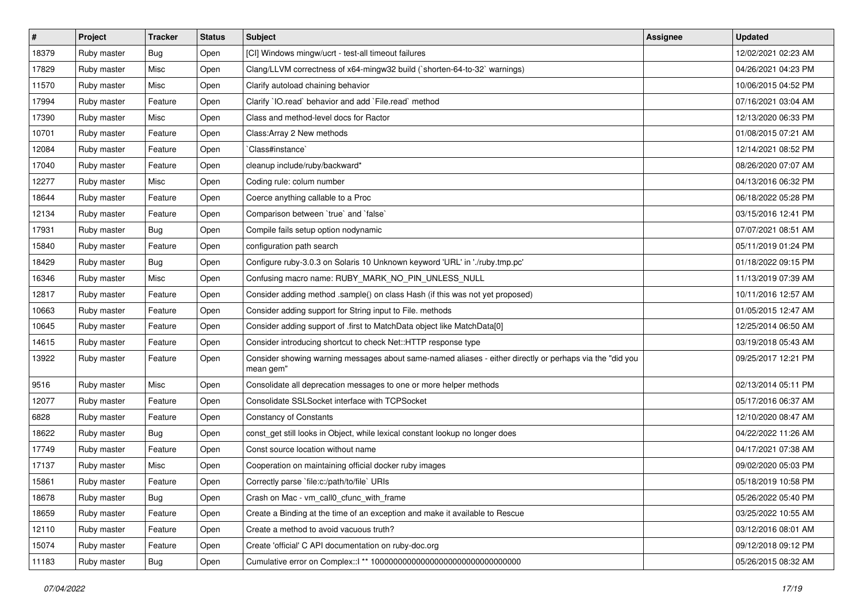| $\vert$ # | Project     | <b>Tracker</b> | <b>Status</b> | Subject                                                                                                               | <b>Assignee</b> | <b>Updated</b>      |
|-----------|-------------|----------------|---------------|-----------------------------------------------------------------------------------------------------------------------|-----------------|---------------------|
| 18379     | Ruby master | Bug            | Open          | [CI] Windows mingw/ucrt - test-all timeout failures                                                                   |                 | 12/02/2021 02:23 AM |
| 17829     | Ruby master | Misc           | Open          | Clang/LLVM correctness of x64-mingw32 build (`shorten-64-to-32` warnings)                                             |                 | 04/26/2021 04:23 PM |
| 11570     | Ruby master | Misc           | Open          | Clarify autoload chaining behavior                                                                                    |                 | 10/06/2015 04:52 PM |
| 17994     | Ruby master | Feature        | Open          | Clarify `IO.read` behavior and add `File.read` method                                                                 |                 | 07/16/2021 03:04 AM |
| 17390     | Ruby master | Misc           | Open          | Class and method-level docs for Ractor                                                                                |                 | 12/13/2020 06:33 PM |
| 10701     | Ruby master | Feature        | Open          | Class: Array 2 New methods                                                                                            |                 | 01/08/2015 07:21 AM |
| 12084     | Ruby master | Feature        | Open          | Class#instance`                                                                                                       |                 | 12/14/2021 08:52 PM |
| 17040     | Ruby master | Feature        | Open          | cleanup include/ruby/backward*                                                                                        |                 | 08/26/2020 07:07 AM |
| 12277     | Ruby master | Misc           | Open          | Coding rule: colum number                                                                                             |                 | 04/13/2016 06:32 PM |
| 18644     | Ruby master | Feature        | Open          | Coerce anything callable to a Proc                                                                                    |                 | 06/18/2022 05:28 PM |
| 12134     | Ruby master | Feature        | Open          | Comparison between 'true' and 'false'                                                                                 |                 | 03/15/2016 12:41 PM |
| 17931     | Ruby master | <b>Bug</b>     | Open          | Compile fails setup option nodynamic                                                                                  |                 | 07/07/2021 08:51 AM |
| 15840     | Ruby master | Feature        | Open          | configuration path search                                                                                             |                 | 05/11/2019 01:24 PM |
| 18429     | Ruby master | <b>Bug</b>     | Open          | Configure ruby-3.0.3 on Solaris 10 Unknown keyword 'URL' in './ruby.tmp.pc'                                           |                 | 01/18/2022 09:15 PM |
| 16346     | Ruby master | Misc           | Open          | Confusing macro name: RUBY_MARK_NO_PIN_UNLESS_NULL                                                                    |                 | 11/13/2019 07:39 AM |
| 12817     | Ruby master | Feature        | Open          | Consider adding method .sample() on class Hash (if this was not yet proposed)                                         |                 | 10/11/2016 12:57 AM |
| 10663     | Ruby master | Feature        | Open          | Consider adding support for String input to File. methods                                                             |                 | 01/05/2015 12:47 AM |
| 10645     | Ruby master | Feature        | Open          | Consider adding support of .first to MatchData object like MatchData[0]                                               |                 | 12/25/2014 06:50 AM |
| 14615     | Ruby master | Feature        | Open          | Consider introducing shortcut to check Net::HTTP response type                                                        |                 | 03/19/2018 05:43 AM |
| 13922     | Ruby master | Feature        | Open          | Consider showing warning messages about same-named aliases - either directly or perhaps via the "did you<br>mean gem" |                 | 09/25/2017 12:21 PM |
| 9516      | Ruby master | Misc           | Open          | Consolidate all deprecation messages to one or more helper methods                                                    |                 | 02/13/2014 05:11 PM |
| 12077     | Ruby master | Feature        | Open          | Consolidate SSLSocket interface with TCPSocket                                                                        |                 | 05/17/2016 06:37 AM |
| 6828      | Ruby master | Feature        | Open          | <b>Constancy of Constants</b>                                                                                         |                 | 12/10/2020 08:47 AM |
| 18622     | Ruby master | <b>Bug</b>     | Open          | const_get still looks in Object, while lexical constant lookup no longer does                                         |                 | 04/22/2022 11:26 AM |
| 17749     | Ruby master | Feature        | Open          | Const source location without name                                                                                    |                 | 04/17/2021 07:38 AM |
| 17137     | Ruby master | Misc           | Open          | Cooperation on maintaining official docker ruby images                                                                |                 | 09/02/2020 05:03 PM |
| 15861     | Ruby master | Feature        | Open          | Correctly parse `file:c:/path/to/file` URIs                                                                           |                 | 05/18/2019 10:58 PM |
| 18678     | Ruby master | Bug            | Open          | Crash on Mac - vm call0 cfunc with frame                                                                              |                 | 05/26/2022 05:40 PM |
| 18659     | Ruby master | Feature        | Open          | Create a Binding at the time of an exception and make it available to Rescue                                          |                 | 03/25/2022 10:55 AM |
| 12110     | Ruby master | Feature        | Open          | Create a method to avoid vacuous truth?                                                                               |                 | 03/12/2016 08:01 AM |
| 15074     | Ruby master | Feature        | Open          | Create 'official' C API documentation on ruby-doc.org                                                                 |                 | 09/12/2018 09:12 PM |
| 11183     | Ruby master | <b>Bug</b>     | Open          |                                                                                                                       |                 | 05/26/2015 08:32 AM |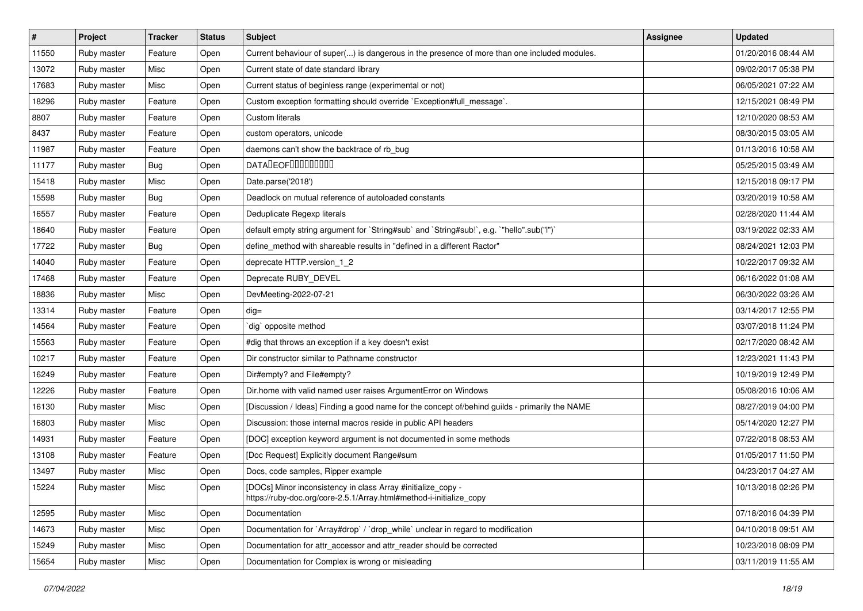| $\pmb{\sharp}$ | Project     | <b>Tracker</b> | <b>Status</b> | <b>Subject</b>                                                                                                                      | <b>Assignee</b> | <b>Updated</b>      |
|----------------|-------------|----------------|---------------|-------------------------------------------------------------------------------------------------------------------------------------|-----------------|---------------------|
| 11550          | Ruby master | Feature        | Open          | Current behaviour of super() is dangerous in the presence of more than one included modules.                                        |                 | 01/20/2016 08:44 AM |
| 13072          | Ruby master | Misc           | Open          | Current state of date standard library                                                                                              |                 | 09/02/2017 05:38 PM |
| 17683          | Ruby master | Misc           | Open          | Current status of beginless range (experimental or not)                                                                             |                 | 06/05/2021 07:22 AM |
| 18296          | Ruby master | Feature        | Open          | Custom exception formatting should override `Exception#full_message`.                                                               |                 | 12/15/2021 08:49 PM |
| 8807           | Ruby master | Feature        | Open          | <b>Custom literals</b>                                                                                                              |                 | 12/10/2020 08:53 AM |
| 8437           | Ruby master | Feature        | Open          | custom operators, unicode                                                                                                           |                 | 08/30/2015 03:05 AM |
| 11987          | Ruby master | Feature        | Open          | daemons can't show the backtrace of rb_bug                                                                                          |                 | 01/13/2016 10:58 AM |
| 11177          | Ruby master | Bug            | Open          | DATADEOF00000000                                                                                                                    |                 | 05/25/2015 03:49 AM |
| 15418          | Ruby master | Misc           | Open          | Date.parse('2018')                                                                                                                  |                 | 12/15/2018 09:17 PM |
| 15598          | Ruby master | Bug            | Open          | Deadlock on mutual reference of autoloaded constants                                                                                |                 | 03/20/2019 10:58 AM |
| 16557          | Ruby master | Feature        | Open          | Deduplicate Regexp literals                                                                                                         |                 | 02/28/2020 11:44 AM |
| 18640          | Ruby master | Feature        | Open          | default empty string argument for `String#sub` and `String#sub!`, e.g. `"hello".sub("I")`                                           |                 | 03/19/2022 02:33 AM |
| 17722          | Ruby master | <b>Bug</b>     | Open          | define_method with shareable results in "defined in a different Ractor"                                                             |                 | 08/24/2021 12:03 PM |
| 14040          | Ruby master | Feature        | Open          | deprecate HTTP.version_1_2                                                                                                          |                 | 10/22/2017 09:32 AM |
| 17468          | Ruby master | Feature        | Open          | Deprecate RUBY_DEVEL                                                                                                                |                 | 06/16/2022 01:08 AM |
| 18836          | Ruby master | Misc           | Open          | DevMeeting-2022-07-21                                                                                                               |                 | 06/30/2022 03:26 AM |
| 13314          | Ruby master | Feature        | Open          | $dig =$                                                                                                                             |                 | 03/14/2017 12:55 PM |
| 14564          | Ruby master | Feature        | Open          | dig` opposite method                                                                                                                |                 | 03/07/2018 11:24 PM |
| 15563          | Ruby master | Feature        | Open          | #dig that throws an exception if a key doesn't exist                                                                                |                 | 02/17/2020 08:42 AM |
| 10217          | Ruby master | Feature        | Open          | Dir constructor similar to Pathname constructor                                                                                     |                 | 12/23/2021 11:43 PM |
| 16249          | Ruby master | Feature        | Open          | Dir#empty? and File#empty?                                                                                                          |                 | 10/19/2019 12:49 PM |
| 12226          | Ruby master | Feature        | Open          | Dir.home with valid named user raises ArgumentError on Windows                                                                      |                 | 05/08/2016 10:06 AM |
| 16130          | Ruby master | Misc           | Open          | [Discussion / Ideas] Finding a good name for the concept of/behind guilds - primarily the NAME                                      |                 | 08/27/2019 04:00 PM |
| 16803          | Ruby master | Misc           | Open          | Discussion: those internal macros reside in public API headers                                                                      |                 | 05/14/2020 12:27 PM |
| 14931          | Ruby master | Feature        | Open          | [DOC] exception keyword argument is not documented in some methods                                                                  |                 | 07/22/2018 08:53 AM |
| 13108          | Ruby master | Feature        | Open          | [Doc Request] Explicitly document Range#sum                                                                                         |                 | 01/05/2017 11:50 PM |
| 13497          | Ruby master | Misc           | Open          | Docs, code samples, Ripper example                                                                                                  |                 | 04/23/2017 04:27 AM |
| 15224          | Ruby master | Misc           | Open          | [DOCs] Minor inconsistency in class Array #initialize_copy -<br>https://ruby-doc.org/core-2.5.1/Array.html#method-i-initialize_copy |                 | 10/13/2018 02:26 PM |
| 12595          | Ruby master | Misc           | Open          | Documentation                                                                                                                       |                 | 07/18/2016 04:39 PM |
| 14673          | Ruby master | Misc           | Open          | Documentation for `Array#drop` / `drop_while` unclear in regard to modification                                                     |                 | 04/10/2018 09:51 AM |
| 15249          | Ruby master | Misc           | Open          | Documentation for attr_accessor and attr_reader should be corrected                                                                 |                 | 10/23/2018 08:09 PM |
| 15654          | Ruby master | Misc           | Open          | Documentation for Complex is wrong or misleading                                                                                    |                 | 03/11/2019 11:55 AM |